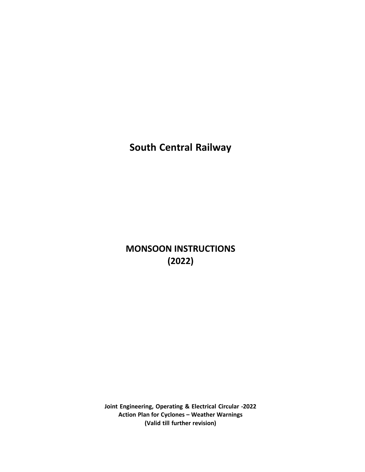**South Central Railway**

# **MONSOON INSTRUCTIONS (2022)**

**Joint Engineering, Operating & Electrical Circular -2022 Action Plan for Cyclones – Weather Warnings (Valid till further revision)**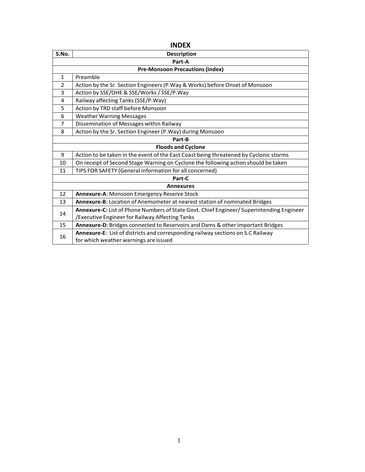| <b>INDEX</b>   |                                                                                          |  |  |
|----------------|------------------------------------------------------------------------------------------|--|--|
| S.No.          | <b>Description</b>                                                                       |  |  |
|                | Part-A                                                                                   |  |  |
|                | <b>Pre-Monsoon Precautions (index)</b>                                                   |  |  |
| $\mathbf{1}$   | Preamble                                                                                 |  |  |
| $\overline{2}$ | Action by the Sr. Section Engineers (P. Way & Works) before Onset of Monsoon             |  |  |
| 3              | Action by SSE/OHE & SSE/Works / SSE/P.Way                                                |  |  |
| 4              | Railway affecting Tanks (SSE/P.Way)                                                      |  |  |
| 5              | Action by TRD staff before Monsoon                                                       |  |  |
| 6              | <b>Weather Warning Messages</b>                                                          |  |  |
| $\overline{7}$ | Dissemination of Messages within Railway                                                 |  |  |
| 8              | Action by the Sr. Section Engineer (P.Way) during Monsoon                                |  |  |
|                | Part-B                                                                                   |  |  |
|                | <b>Floods and Cyclone</b>                                                                |  |  |
| 9              | Action to be taken in the event of the East Coast being threatened by Cyclonic storms    |  |  |
| 10             | On receipt of Second Stage Warning on Cyclone the following action should be taken       |  |  |
| 11             | TIPS FOR SAFETY (General information for all concerned)                                  |  |  |
|                | Part-C                                                                                   |  |  |
|                | <b>Annexures</b>                                                                         |  |  |
| 12             | Annexure-A: Monsoon Emergency Reserve Stock                                              |  |  |
| 13             | Annexure-B: Location of Anemometer at nearest station of nominated Bridges               |  |  |
| 14             | Annexure-C: List of Phone Numbers of State Govt. Chief Engineer/ Superintending Engineer |  |  |
|                | /Executive Engineer for Railway Affecting Tanks                                          |  |  |
| 15             | Annexure-D: Bridges connected to Reservoirs and Dams & other important Bridges           |  |  |
| 16             | Annexure-E: List of districts and corresponding railway sections on S.C Railway          |  |  |
|                | for which weather warnings are issued                                                    |  |  |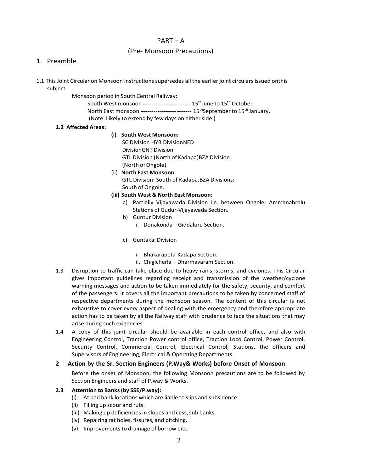# PART – A

# (Pre- Monsoon Precautions)

#### 1. Preamble

- 1.1 This Joint Circular on Monsoon Instructionssupersedes all the earlier joint circulars issued onthis subject.
	- Monsoon period in South Central Railway:

South West monsoon ----------------------- 15<sup>th</sup>June to 15<sup>th</sup> October.

North East monsoon ------------------ -------  $15<sup>th</sup>$ September to  $15<sup>th</sup>$  January.

(Note: Likely to extend by few days on either side.)

## **1.2 Affected Areas:**

#### **(i) South West Monsoon:**

- SC Division HYB DivisionNED DivisionGNT Division GTL Division (North of Kadapa)BZA Division (North of Ongole)
- (ii) **North East Monsoon**: GTL Division: South of Kadapa.BZA Divisions: South of Ongole.

## **(iii) South West & North East Monsoon:**

- a) Partially Vijayawada Division i.e. between Ongole- Ammanabrolu Stations of Gudur-Vijayawada Section.
- b) Guntur Division
	- i. Donakonda Giddaluru Section.
- c) Guntakal Division
	- i. Bhakarapeta-Kadapa Section.
	- ii. Chigicherla Dharmavaram Section.
- 1.3 Disruption to traffic can take place due to heavy rains, storms, and cyclones. This Circular gives important guidelines regarding receipt and transmission of the weather/cyclone warning messages and action to be taken immediately for the safety, security, and comfort of the passengers. It covers all the important precautions to be taken by concerned staff of respective departments during the monsoon season. The content of this circular is not exhaustive to cover every aspect of dealing with the emergency and therefore appropriate action has to be taken by all the Railway staff with prudence to face the situations that may arise during such exigencies.
- 1.4 A copy of this joint circular should be available in each control office, and also with Engineering Control, Traction Power control office, Traction Loco Control, Power Control, Security Control, Commercial Control, Electrical Control, Stations, the officers and Supervisors of Engineering, Electrical & Operating Departments.

## **2 Action by the Sr. Section Engineers (P.Way& Works) before Onset of Monsoon**

Before the onset of Monsoon, the following Monsoon precautions are to be followed by Section Engineers and staff of P.way & Works.

## **2.3 Attention to Banks(by SSE/P.way):**

- (i) At bad bank locations which are liable to slips and subsidence.
- (ii) Filling up scour and ruts.
- (iii) Making up deficiencies in slopes and cess, sub banks.
- (iv) Repairing rat holes, fissures, and pitching.
- (v) Improvements to drainage of borrow pits.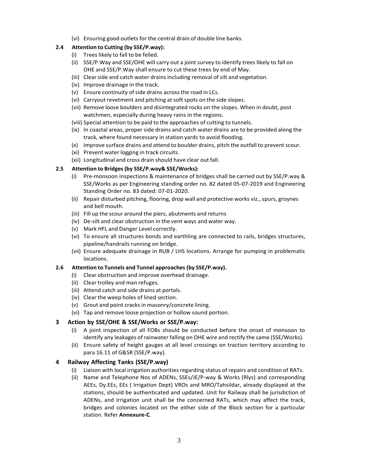(vi) Ensuring good outlets for the central drain of double line banks.

# **2.4 Attention to Cutting (by SSE/P.way):**

- (i) Trees likely to fall to be felled.
- (ii) SSE/P.Way and SSE/OHE will carry out a joint survey to identify trees likely to fall on OHE and SSE/P.Way shall ensure to cut these trees by end of May.
- (iii) Clearside and catch water drains including removal ofsilt and vegetation.
- (iv) Improve drainage in the track.
- (v) Ensure continuity of side drains across the road in LCs.
- (vi) Carryout revetment and pitching at soft spots on the side slopes.
- (vii) Remove loose boulders and disintegrated rocks on the slopes. When in doubt, post watchmen, especially during heavy rains in the regions.
- (viii) Special attention to be paid to the approaches of cutting to tunnels.
- (ix) In coastal areas, properside drains and catch water drains are to be provided along the track, where found necessary in station yards to avoid flooding.
- (x) Improve surface drains and attend to boulder drains, pitch the outfall to prevent scour.
- (xi) Prevent water logging in track circuits.
- (xii) Longitudinal and cross drain should have clear out fall.

## **2.5 Attention to Bridges(by SSE/P.way& SSE/Works):**

- (i) Pre-monsoon inspections & maintenance of bridges shall be carried out by SSE/P.way & SSE/Works as per Engineering standing order no. 82 dated 05-07-2019 and Engineering Standing Order no. 83 dated: 07-01-2020.
- (ii) Repair disturbed pitching, flooring, drop wall and protective works viz.,spurs, groynes and bell mouth.
- (iii) Fill up the scour around the piers, abutments and returns
- (iv) De-silt and clear obstruction in the vent ways and water way.
- (v) Mark HFL and Danger Level correctly.
- (vi) To ensure all structures bonds and earthling are connected to rails, bridges structures, pipeline/handrails running on bridge.
- (vii) Ensure adequate drainage in RUB / LHS locations. Arrange for pumping in problematic locations.

## **2.6 Attention to Tunnels and Tunnel approaches (by SSE/P.way).**

- (i) Clear obstruction and improve overhead drainage.
- (ii) Clear trolley and man refuges.
- (iii) Attend catch and side drains at portals.
- (iv) Clear the weep holes of lined section.
- (v) Grout and point cracks in masonry/concrete lining.
- (vi) Tap and remove loose projection or hollow sound portion.

# **3 Action by SSE/OHE & SSE/Works or SSE/P.way:**

- (i) A joint inspection of all FOBs should be conducted before the onset of monsoon to identify any leakages of rainwater falling on OHE wire and rectify the same (SSE/Works).
- (ii) Ensure safety of height gauges at all level crossings on traction territory according to para 16.11 of G&SR (SSE/P.way).

# **4 Railway Affecting Tanks (SSE/P.way)**

- (i) Liaison with local irrigation authorities regarding status of repairs and condition of RATs.
- (ii) Name and Telephone Nos of ADENs, SSEs/JE/P-way & Works (Rlys) and corresponding AEEs, Dy.EEs, EEs ( Irrigation Dept) VROs and MRO/Tahsildar, already displayed at the stations, should be authenticated and updated. Unit for Railway shall be jurisdiction of ADENs, and Irrigation unit shall be the concerned RATs, which may affect the track, bridges and colonies located on the either side of the Block section for a particular station. Refer **Annexure-C**.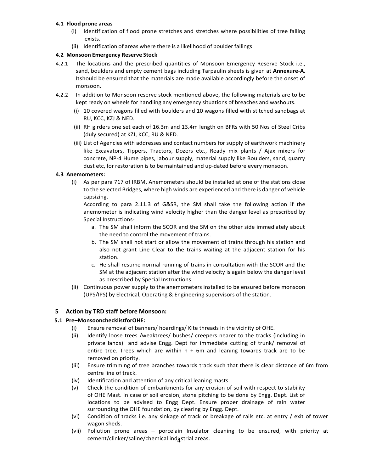## **4.1 Flood prone areas**

- (i) Identification of flood prone stretches and stretches where possibilities of tree falling exists.
- (ii) Identification of areas where there is a likelihood of boulder fallings.

## **4.2 Monsoon Emergency Reserve Stock**

- 4.2.1 The locations and the prescribed quantities of Monsoon Emergency Reserve Stock i.e., sand, boulders and empty cement bags including Tarpaulin sheets is given at **Annexure-A**. Itshould be ensured that the materials are made available accordingly before the onset of monsoon.
- 4.2.2 In addition to Monsoon reserve stock mentioned above, the following materials are to be kept ready on wheels for handling any emergency situations of breaches and washouts.
	- (i) 10 covered wagons filled with boulders and 10 wagons filled with stitched sandbags at RU, KCC, KZJ & NED.
	- (ii) RH girders one set each of 16.3m and 13.4m length on BFRs with 50 Nos of Steel Cribs (duly secured) at KZJ, KCC, RU & NED.
	- (iii) List of Agencies with addresses and contact numbers for supply of earthwork machinery like Excavators, Tippers, Tractors, Dozers etc., Ready mix plants / Ajax mixers for concrete, NP-4 Hume pipes, labour supply, material supply like Boulders, sand, quarry dust etc, for restoration is to be maintained and up-dated before every monsoon.

## **4.3 Anemometers:**

(i) As per para 717 of IRBM, Anemometers should be installed at one of the stations close to the selected Bridges, where high winds are experienced and there is danger of vehicle capsizing.

According to para 2.11.3 of G&SR, the SM shall take the following action if the anemometer is indicating wind velocity higher than the danger level as prescribed by Special Instructions-

- a. The SM shall inform the SCOR and the SM on the other side immediately about the need to control the movement of trains.
- b. The SM shall not start or allow the movement of trains through his station and also not grant Line Clear to the trains waiting at the adjacent station for his station.
- c. He shall resume normal running of trains in consultation with the SCOR and the SM at the adjacent station after the wind velocity is again below the danger level as prescribed by Special Instructions.
- (ii) Continuous power supply to the anemometers installed to be ensured before monsoon (UPS/IPS) by Electrical, Operating & Engineering supervisors of the station.

# **5 Action by TRD staff before Monsoon:**

# **5.1 Pre–MonsoonchecklistforOHE:**

- (i) Ensure removal of banners/ hoardings/ Kite threads in the vicinity of OHE.
- (ii) Identify loose trees /weaktrees/ bushes/ creepers nearer to the tracks (including in private lands) and advise Engg. Dept for immediate cutting of trunk/ removal of entire tree. Trees which are within  $h + 6m$  and leaning towards track are to be removed on priority.
- (iii) Ensure trimming of tree branches towards track such that there is clear distance of 6m from centre line of track.
- (iv) Identification and attention of any critical leaning masts.
- (v) Check the condition of embankments for any erosion of soil with respect to stability of OHE Mast. In case of soil erosion, stone pitching to be done by Engg. Dept. List of locations to be advised to Engg Dept. Ensure proper drainage of rain water surrounding the OHE foundation, by clearing by Engg. Dept.
- (vi) Condition of tracks i.e. any sinkage of track or breakage of rails etc. at entry / exit of tower wagon sheds.
- cement/clinker/saline/chemical indµstrial areas. (vii) Pollution prone areas – porcelain Insulator cleaning to be ensured, with priority at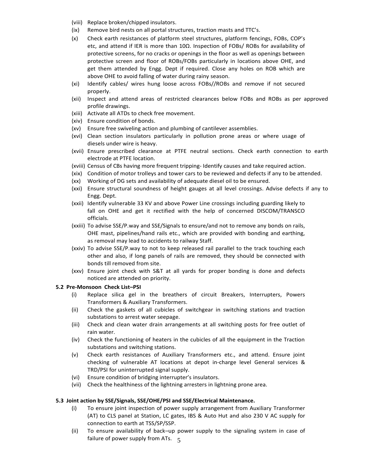- (viii) Replace broken/chipped insulators.
- (ix) Remove bird nests on all portal structures, traction masts and TTC's.
- (x) Check earth resistances of platform steel structures, platform fencings, FOBs, COP's etc, and attend if IER is more than 10Ω. Inspection of FOBs/ ROBs for availability of protective screens, for no cracks or openings in the floor as well as openings between protective screen and floor of ROBs/FOBs particularly in locations above OHE, and get them attended by Engg. Dept if required. Close any holes on ROB which are above OHE to avoid falling of water during rainy season.
- (xi) Identify cables/ wires hung loose across FOBs//ROBs and remove if not secured properly.
- (xii) Inspect and attend areas of restricted clearances below FOBs and ROBs as per approved profile drawings.
- (xiii) Activate all ATDs to check free movement.
- (xiv) Ensure condition of bonds.
- (xv) Ensure free swiveling action and plumbing of cantilever assemblies.
- (xvi) Clean section insulators particularly in pollution prone areas or where usage of diesels under wire is heavy.
- (xvii) Ensure prescribed clearance at PTFE neutral sections. Check earth connection to earth electrode at PTFE location.
- (xviii) Census of CBs having more frequent tripping- Identify causes and take required action.
- (xix) Condition of motor trolleys and tower cars to be reviewed and defects if any to be attended.
- (xx) Working of DG sets and availability of adequate diesel oil to be ensured.
- (xxi) Ensure structural soundness of height gauges at all level crossings. Advise defects if any to Engg. Dept.
- (xxii) Identify vulnerable 33 KV and above Power Line crossings including guarding likely to fall on OHE and get it rectified with the help of concerned DISCOM/TRANSCO officials.
- (xxiii) To advise SSE/P.way and SSE/Signals to ensure/and not to remove any bonds on rails, OHE mast, pipelines/hand rails etc., which are provided with bonding and earthing, as removal may lead to accidents to railway Staff.
- (xxiv) To advise SSE/P.way to not to keep released rail parallel to the track touching each other and also, if long panels of rails are removed, they should be connected with bonds till removed from site.
- (xxv) Ensure joint check with S&T at all yards for proper bonding is done and defects noticed are attended on priority.

## **5.2 Pre-Monsoon Check List–PSI**

- (i) Replace silica gel in the breathers of circuit Breakers, Interrupters, Powers Transformers & Auxiliary Transformers.
- (ii) Check the gaskets of all cubicles of switchgear in switching stations and traction substations to arrest water seepage.
- (iii) Check and clean water drain arrangements at all switching posts for free outlet of rain water.
- (iv) Check the functioning of heaters in the cubicles of all the equipment in the Traction substations and switching stations.
- (v) Check earth resistances of Auxiliary Transformers etc., and attend. Ensure joint checking of vulnerable AT locations at depot in-charge level General services & TRD/PSI for uninterrupted signal supply.
- (vi) Ensure condition of bridging interrupter's insulators.
- (vii) Check the healthiness of the lightning arresters in lightning prone area*.*

# **5.3 Joint action by SSE/Signals, SSE/OHE/PSI and SSE/Electrical Maintenance.**

- (i) To ensure joint inspection of power supply arrangement from Auxiliary Transformer (AT) to CLS panel at Station, LC gates, IBS & Auto Hut and also 230 V AC supply for connection to earth at TSS/SP/SSP.
- failure of power supply from ATs.  $\,$  5 (ii) To ensure availability of back–up power supply to the signaling system in case of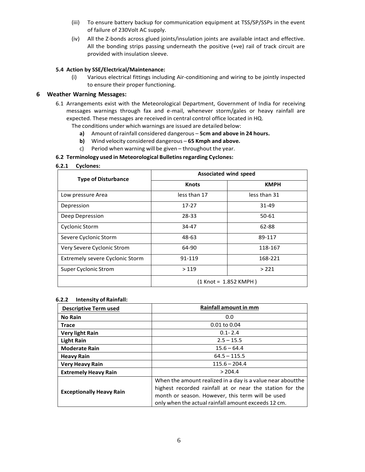- (iii) To ensure battery backup for communication equipment at TSS/SP/SSPs in the event of failure of 230Volt AC supply.
- (iv) All the Z-bonds across glued joints/insulation joints are available intact and effective. All the bonding strips passing underneath the positive (+ve) rail of track circuit are provided with insulation sleeve.

## **5.4 Action by SSE/Electrical/Maintenance:**

(i) Various electrical fittings including Air-conditioning and wiring to be jointly inspected to ensure their proper functioning.

## **6 Weather Warning Messages:**

- 6.1 Arrangements exist with the Meteorological Department, Government of India for receiving messages warnings through fax and e-mail, whenever storm/gales or heavy rainfall are expected. These messages are received in central control office located in HQ.
	- The conditions under which warnings are issued are detailed below:
		- **a)** Amount ofrainfall considered dangerous **5cm and above in 24 hours.**
		- **b)** Wind velocity considered dangerous **65 Kmph and above.**
		- c) Period when warning will be given throughout the year.

## **6.2 Terminology used in Meteorological Bulletinsregarding Cyclones:**

#### **6.2.1 Cyclones:**

| <b>Type of Disturbance</b>             | <b>Associated wind speed</b> |              |  |
|----------------------------------------|------------------------------|--------------|--|
|                                        | <b>Knots</b>                 | <b>KMPH</b>  |  |
| Low pressure Area                      | less than 17                 | less than 31 |  |
| Depression                             | $17 - 27$                    | $31 - 49$    |  |
| Deep Depression                        | 28-33                        | 50-61        |  |
| <b>Cyclonic Storm</b>                  | 34-47                        | 62-88        |  |
| Severe Cyclonic Storm                  | 48-63                        | 89-117       |  |
| Very Severe Cyclonic Strom             | 64-90                        | 118-167      |  |
| <b>Extremely severe Cyclonic Storm</b> | 91-119                       | 168-221      |  |
| Super Cyclonic Strom                   | >119                         | >221         |  |
|                                        | $(1$ Knot = 1.852 KMPH)      |              |  |

#### **6.2.2 Intensity of Rainfall:**

| <b>Descriptive Term used</b>    | Rainfall amount in mm                                                                                                                                                                                                             |
|---------------------------------|-----------------------------------------------------------------------------------------------------------------------------------------------------------------------------------------------------------------------------------|
| <b>No Rain</b>                  | 0.0                                                                                                                                                                                                                               |
| Trace                           | $0.01$ to $0.04$                                                                                                                                                                                                                  |
| <b>Very light Rain</b>          | $0.1 - 2.4$                                                                                                                                                                                                                       |
| <b>Light Rain</b>               | $2.5 - 15.5$                                                                                                                                                                                                                      |
| <b>Moderate Rain</b>            | $15.6 - 64.4$                                                                                                                                                                                                                     |
| <b>Heavy Rain</b>               | $64.5 - 115.5$                                                                                                                                                                                                                    |
| <b>Very Heavy Rain</b>          | $115.6 - 204.4$                                                                                                                                                                                                                   |
| <b>Extremely Heavy Rain</b>     | > 204.4                                                                                                                                                                                                                           |
| <b>Exceptionally Heavy Rain</b> | When the amount realized in a day is a value near aboutthe<br>highest recorded rainfall at or near the station for the<br>month or season. However, this term will be used<br>only when the actual rainfall amount exceeds 12 cm. |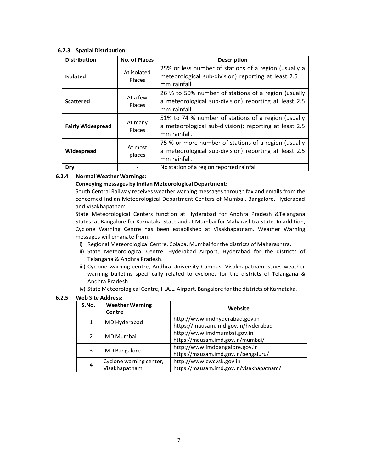#### **6.2.3 Spatial Distribution:**

| <b>Distribution</b>                             | <b>No. of Places</b>                                                                                                                                      | <b>Description</b>                                                                                                            |  |
|-------------------------------------------------|-----------------------------------------------------------------------------------------------------------------------------------------------------------|-------------------------------------------------------------------------------------------------------------------------------|--|
| <b>Isolated</b>                                 | At isolated<br><b>Places</b>                                                                                                                              | 25% or less number of stations of a region (usually a<br>meteorological sub-division) reporting at least 2.5<br>mm rainfall.  |  |
| <b>Scattered</b>                                | 26 % to 50% number of stations of a region (usually<br>At a few<br>a meteorological sub-division) reporting at least 2.5<br><b>Places</b><br>mm rainfall. |                                                                                                                               |  |
| <b>Fairly Widespread</b>                        | At many<br>Places                                                                                                                                         | 51% to 74 % number of stations of a region (usually<br>a meteorological sub-division); reporting at least 2.5<br>mm rainfall. |  |
| At most<br>Widespread<br>places<br>mm rainfall. |                                                                                                                                                           | 75 % or more number of stations of a region (usually<br>a meteorological sub-division) reporting at least 2.5                 |  |
| Dry                                             |                                                                                                                                                           | No station of a region reported rainfall                                                                                      |  |

#### **6.2.4 Normal Weather Warnings:**

#### **Conveying messages by Indian Meteorological Department:**

South Central Railway receives weather warning messages through fax and emails from the concerned Indian Meteorological Department Centers of Mumbai, Bangalore, Hyderabad and Visakhapatnam.

State Meteorological Centers function at Hyderabad for Andhra Pradesh &Telangana States; at Bangalore for Karnataka State and at Mumbai for Maharashtra State. In addition, Cyclone Warning Centre has been established at Visakhapatnam. Weather Warning messages will emanate from:

- i) Regional Meteorological Centre, Colaba, Mumbai for the districts of Maharashtra.
- ii) State Meteorological Centre, Hyderabad Airport, Hyderabad for the districts of Telangana & Andhra Pradesh.
- iii) Cyclone warning centre, Andhra University Campus, Visakhapatnam issues weather warning bulletins specifically related to cyclones for the districts of Telangana & Andhra Pradesh.
- iv) State Meteorological Centre, H.A.L. Airport, Bangalore for the districts of Karnataka.

#### **6.2.5 Web Site Address:**

| S.No. | <b>Weather Warning</b><br><b>Centre</b> | Website                                  |
|-------|-----------------------------------------|------------------------------------------|
| 1     | IMD Hyderabad                           | http://www.imdhyderabad.gov.in           |
|       |                                         | https://mausam.imd.gov.in/hyderabad      |
| 2     | <b>IMD Mumbai</b>                       | http://www.imdmumbai.gov.in              |
|       |                                         | https://mausam.imd.gov.in/mumbai/        |
| 3     | <b>IMD Bangalore</b>                    | http://www.imdbangalore.gov.in           |
|       |                                         | https://mausam.imd.gov.in/bengaluru/     |
|       | Cyclone warning center,                 | http://www.cwcvsk.gov.in                 |
| 4     | Visakhapatnam                           | https://mausam.imd.gov.in/visakhapatnam/ |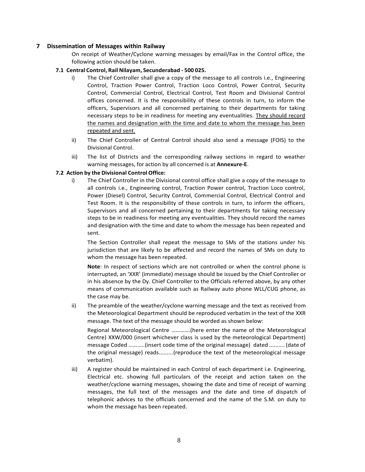### **7 Dissemination of Messages within Railway**

On receipt of Weather/Cyclone warning messages by email/Fax in the Control office, the following action should be taken.

#### **7.1 Central Control, Rail Nilayam, Secunderabad - 500 025.**

- i) The Chief Controller shall give a copy of the message to all controls i.e., Engineering Control, Traction Power Control, Traction Loco Control, Power Control, Security Control, Commercial Control, Electrical Control, Test Room and Divisional Control offices concerned. It is the responsibility of these controls in turn, to inform the officers, Supervisors and all concerned pertaining to their departments for taking necessary steps to be in readiness for meeting any eventualities. They should record the names and designation with the time and date to whom the message has been repeated and sent.
- ii) The Chief Controller of Central Control should also send a message (FOIS) to the Divisional Control.
- iii) The list of Districts and the corresponding railway sections in regard to weather warning messages, for action by all concerned is at **Annexure-E**.

#### **7.2 Action by the Divisional Control Office:**

i) The Chief Controller in the Divisional control office shall give a copy of the message to all controls i.e., Engineering control, Traction Power control, Traction Loco control, Power (Diesel) Control, Security Control, Commercial Control, Electrical Control and Test Room. It is the responsibility of these controls in turn, to inform the officers, Supervisors and all concerned pertaining to their departments for taking necessary steps to be in readiness for meeting any eventualities. They should record the names and designation with the time and date to whom the message has been repeated and sent.

The Section Controller shall repeat the message to SMs of the stations under his jurisdiction that are likely to be affected and record the names of SMs on duty to whom the message has been repeated.

**Note**: In respect of sections which are not controlled or when the control phone is interrupted, an 'XXR' (immediate) message should be issued by the Chief Controller or in his absence by the Dy. Chief Controller to the Officials referred above, by any other means of communication available such as Railway auto phone WLL/CUG phone, as the case may be.

ii) The preamble of the weather/cyclone warning message and the text as received from the Meteorological Department should be reproduced verbatim in the text of the XXR message. The text of the message should be worded as shown below:

Regional Meteorological Centre ………….(here enter the name of the Meteorological Centre) XXW/000 (insert whichever class is used by the meteorological Department) message Coded ………..(insert code time of the original message) dated .......... (date of the original message) reads.........(reproduce the text of the meteorological message verbatim).

iii) A register should be maintained in each Control of each department i.e. Engineering, Electrical etc. showing full particulars of the receipt and action taken on the weather/cyclone warning messages, showing the date and time of receipt of warning messages, the full text of the messages and the date and time of dispatch of telephonic advices to the officials concerned and the name of the S.M. on duty to whom the message has been repeated.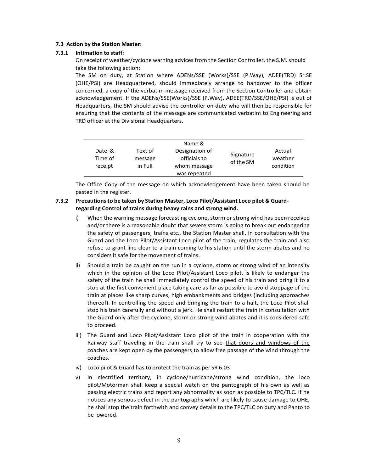#### **7.3 Action by the Station Master:**

#### **7.3.1 Intimation to staff:**

On receipt of weather/cyclone warning advices from the Section Controller, the S.M. should take the following action:

The SM on duty, at Station where ADENs/SSE (Works)/SSE (P.Way), ADEE(TRD) Sr.SE (OHE/PSI) are Headquartered, should immediately arrange to handover to the officer concerned, a copy of the verbatim message received from the Section Controller and obtain acknowledgement. If the ADENs/SSE(Works)/SSE (P.Way), ADEE(TRD/SSE/OHE/PSI) is out of Headquarters, the SM should advise the controller on duty who will then be responsible for ensuring that the contents of the message are communicated verbatim to Engineering and TRD officer at the Divisional Headquarters.

| Date &<br>Time of | Text of<br>message | Name &<br>Designation of<br>officials to | Signature<br>of the SM | Actual<br>weather |
|-------------------|--------------------|------------------------------------------|------------------------|-------------------|
| receipt           | in Full            | whom message                             |                        | condition         |
|                   |                    | was repeated                             |                        |                   |

The Office Copy of the message on which acknowledgement have been taken should be pasted in the register.

## **7.3.2 Precautionsto be taken by Station Master, Loco Pilot/Assistant Loco pilot & Guardregarding Control of trains during heavy rains and strong wind.**

- i) When the warning message forecasting cyclone, storm or strong wind has been received and/or there is a reasonable doubt that severe storm is going to break out endangering the safety of passengers, trains etc., the Station Master shall, in consultation with the Guard and the Loco Pilot/Assistant Loco pilot of the train, regulates the train and also refuse to grant line clear to a train coming to his station until the storm abates and he considers it safe for the movement of trains.
- ii) Should a train be caught on the run in a cyclone, storm or strong wind of an intensity which in the opinion of the Loco Pilot/Assistant Loco pilot, is likely to endanger the safety of the train he shall immediately control the speed of his train and bring it to a stop at the first convenient place taking care as far as possible to avoid stoppage of the train at places like sharp curves, high embankments and bridges (including approaches thereof). In controlling the speed and bringing the train to a halt, the Loco Pilot shall stop his train carefully and without a jerk. He shall restart the train in consultation with the Guard only after the cyclone, storm or strong wind abates and it is considered safe to proceed.
- iii) The Guard and Loco Pilot/Assistant Loco pilot of the train in cooperation with the Railway staff traveling in the train shall try to see that doors and windows of the coaches are kept open by the passengers to allow free passage of the wind through the coaches.
- iv) Loco pilot & Guard has to protect the train as per SR 6.03
- v) In electrified territory, in cyclone/hurricane/strong wind condition, the loco pilot/Motorman shall keep a special watch on the pantograph of his own as well as passing electric trains and report any abnormality as soon as possible to TPC/TLC. If he notices any serious defect in the pantographs which are likely to cause damage to OHE, he shall stop the train forthwith and convey details to the TPC/TLC on duty and Panto to be lowered.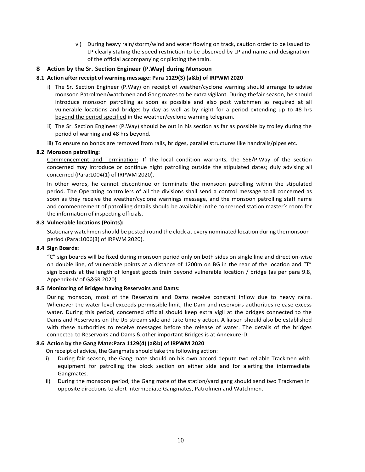vi) During heavy rain/storm/wind and water flowing on track, caution order to be issued to LP clearly stating the speed restriction to be observed by LP and name and designation of the official accompanying or piloting the train.

# **8 Action by the Sr. Section Engineer (P.Way) during Monsoon**

## **8.1 Action after receipt of warning message: Para 1129(3) (a&b) of IRPWM 2020**

- i) The Sr. Section Engineer (P.Way) on receipt of weather/cyclone warning should arrange to advise monsoon Patrolmen/watchmen and Gang mates to be extra vigilant. During thefair season, he should introduce monsoon patrolling as soon as possible and also post watchmen as required at all vulnerable locations and bridges by day as well as by night for a period extending up to 48 hrs beyond the period specified in the weather/cyclone warning telegram.
- ii) The Sr. Section Engineer (P.Way) should be out in his section as far as possible by trolley during the period of warning and 48 hrs beyond.
- iii) To ensure no bonds are removed from rails, bridges, parallel structures like handrails/pipes etc.

## **8.2 Monsoon patrolling:**

Commencement and Termination: If the local condition warrants, the SSE/P.Way of the section concerned may introduce or continue night patrolling outside the stipulated dates; duly advising all concerned (Para:1004(1) of IRPWM 2020).

In other words, he cannot discontinue or terminate the monsoon patrolling within the stipulated period. The Operating controllers of all the divisions shall send a control message to all concerned as soon as they receive the weather/cyclone warnings message, and the monsoon patrolling staff name and commencement of patrolling details should be available inthe concerned station master's room for the information of inspecting officials.

#### **8.3 Vulnerable locations (Points):**

Stationary watchmen should be posted round the clock at every nominated location during themonsoon period (Para:1006(3) of IRPWM 2020).

## **8.4 Sign Boards:**

"C" sign boards will be fixed during monsoon period only on both sides on single line and direction-wise on double line, of vulnerable points at a distance of 1200m on BG in the rear of the location and "T" sign boards at the length of longest goods train beyond vulnerable location / bridge (as per para 9.8, Appendix-IV of G&SR 2020).

## **8.5 Monitoring of Bridges having Reservoirs and Dams:**

During monsoon, most of the Reservoirs and Dams receive constant inflow due to heavy rains. Whenever the water level exceeds permissible limit, the Dam and reservoirs authorities release excess water. During this period, concerned official should keep extra vigil at the bridges connected to the Dams and Reservoirs on the Up-stream side and take timely action. A liaison should also be established with these authorities to receive messages before the release of water. The details of the bridges connected to Reservoirs and Dams & other important Bridges is at Annexure-D.

## **8.6 Action by the Gang Mate:Para 1129(4) (a&b) of IRPWM 2020**

On receipt of advice, the Gangmate should take the following action:

- i) During fair season, the Gang mate should on his own accord depute two reliable Trackmen with equipment for patrolling the block section on either side and for alerting the intermediate Gangmates.
- ii) During the monsoon period, the Gang mate of the station/yard gang should send two Trackmen in opposite directions to alert intermediate Gangmates, Patrolmen and Watchmen.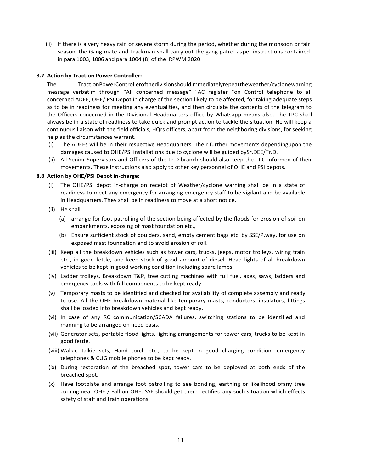iii) If there is a very heavy rain or severe storm during the period, whether during the monsoon or fair season, the Gang mate and Trackman shall carry out the gang patrol asper instructions contained in para 1003, 1006 and para 1004 (8) of the IRPWM 2020.

#### **8.7 Action by Traction Power Controller:**

The TractionPowerControllerofthedivisionshouldimmediatelyrepeattheweather/cyclonewarning message verbatim through "All concerned message" "AC register "on Control telephone to all concerned ADEE, OHE/ PSI Depot in charge of the section likely to be affected, for taking adequate steps as to be in readiness for meeting any eventualities, and then circulate the contents of the telegram to the Officers concerned in the Divisional Headquarters office by Whatsapp means also. The TPC shall always be in a state of readiness to take quick and prompt action to tackle the situation. He will keep a continuous liaison with the field officials, HQrs officers, apart from the neighboring divisions, for seeking help as the circumstances warrant.

- (i) The ADEEs will be in their respective Headquarters. Their further movements dependingupon the damages caused to OHE/PSI installations due to cyclone will be guided bySr.DEE/Tr.D.
- (ii) All Senior Supervisors and Officers of the Tr.D branch should also keep the TPC informed of their movements. These instructions also apply to other key personnel of OHE and PSI depots.

#### **8.8 Action by OHE/PSI Depot in-charge:**

- (i) The OHE/PSI depot in-charge on receipt of Weather/cyclone warning shall be in a state of readiness to meet any emergency for arranging emergency staff to be vigilant and be available in Headquarters. They shall be in readiness to move at a short notice.
- (ii) He shall
	- (a) arrange for foot patrolling of the section being affected by the floods for erosion of soil on embankments, exposing of mast foundation etc.,
	- (b) Ensure sufficient stock of boulders, sand, empty cement bags etc. by SSE/P.way, for use on exposed mast foundation and to avoid erosion of soil.
- (iii) Keep all the breakdown vehicles such as tower cars, trucks, jeeps, motor trolleys, wiring train etc., in good fettle, and keep stock of good amount of diesel. Head lights of all breakdown vehicles to be kept in good working condition including spare lamps.
- (iv) Ladder trolleys, Breakdown T&P, tree cutting machines with full fuel, axes, saws, ladders and emergency tools with full components to be kept ready.
- (v) Temporary masts to be identified and checked for availability of complete assembly and ready to use. All the OHE breakdown material like temporary masts, conductors, insulators, fittings shall be loaded into breakdown vehicles and kept ready.
- (vi) In case of any RC communication/SCADA failures, switching stations to be identified and manning to be arranged on need basis.
- (vii) Generator sets, portable flood lights, lighting arrangements for tower cars, trucks to be kept in good fettle.
- (viii) Walkie talkie sets, Hand torch etc., to be kept in good charging condition, emergency telephones & CUG mobile phones to be kept ready.
- (ix) During restoration of the breached spot, tower cars to be deployed at both ends of the breached spot.
- (x) Have footplate and arrange foot patrolling to see bonding, earthing or likelihood ofany tree coming near OHE / Fall on OHE. SSE should get them rectified any such situation which effects safety of staff and train operations.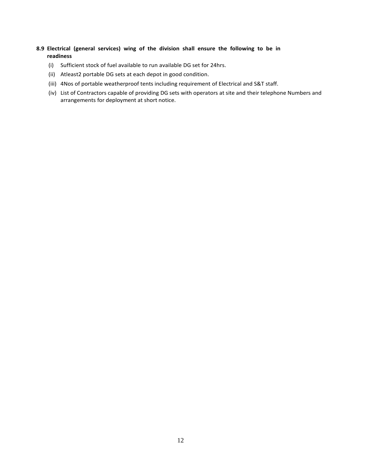# **8.9 Electrical (general services) wing of the division shall ensure the following to be in readiness**

- (i) Sufficient stock of fuel available to run available DG set for 24hrs.
- (ii) Atleast2 portable DG sets at each depot in good condition.
- (iii) 4Nos of portable weatherproof tents including requirement of Electrical and S&T staff.
- (iv) List of Contractors capable of providing DG sets with operators at site and their telephone Numbers and arrangements for deployment at short notice.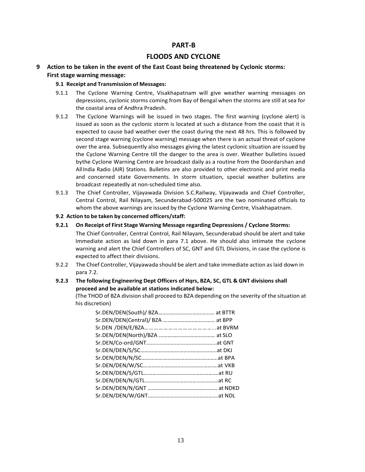# **PART-B**

# **FLOODS AND CYCLONE**

**9 Action to be taken in the event of the East Coast being threatened by Cyclonic storms: First stage warning message:**

#### **9.1 Receipt and Transmission of Messages:**

- 9.1.1 The Cyclone Warning Centre, Visakhapatnam will give weather warning messages on depressions, cyclonic storms coming from Bay of Bengal when the storms are still atsea for the coastal area of Andhra Pradesh.
- 9.1.2 The Cyclone Warnings will be issued in two stages. The first warning (cyclone alert) is issued as soon as the cyclonic storm is located at such a distance from the coast that it is expected to cause bad weather over the coast during the next 48 hrs. This is followed by second stage warning (cyclone warning) message when there is an actual threat of cyclone over the area. Subsequently also messages giving the latest cyclonic situation are issued by the Cyclone Warning Centre till the danger to the area is over. Weather bulletins issued bythe Cyclone Warning Centre are broadcast daily as a routine from the Doordarshan and AllIndia Radio (AIR) Stations. Bulletins are also provided to other electronic and print media and concerned state Governments. In storm situation, special weather bulletins are broadcast repeatedly at non-scheduled time also.
- 9.1.3 The Chief Controller, Vijayawada Division S.C.Railway, Vijayawada and Chief Controller, Central Control, Rail Nilayam, Secunderabad-500025 are the two nominated officials to whom the above warnings are issued by the Cyclone Warning Centre, Visakhapatnam.
- **9.2 Action to be taken by concerned officers/staff:**
- **9.2.1 On Receipt of First Stage Warning Message regarding Depressions / Cyclone Storms:** The Chief Controller, Central Control, Rail Nilayam, Secunderabad should be alert and take Immediate action as laid down in para 7.1 above. He should also intimate the cyclone warning and alert the Chief Controllers of SC, GNT and GTL Divisions, in case the cyclone is expected to affect their divisions.
- 9.2.2 The Chief Controller, Vijayawada should be alert and take immediate action as laid down in para 7.2.
- **9.2.3 The following Engineering Dept Officers of Hqrs, BZA, SC, GTL & GNT divisions shall proceed and be available at stations indicated below:**

(The THOD of BZA division shall proceed to BZA depending on the severity of the situation at his discretion)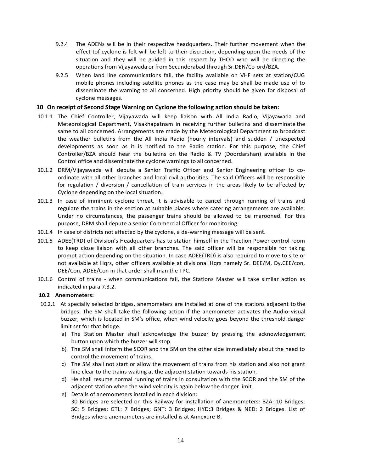- 9.2.4 The ADENs will be in their respective headquarters. Their further movement when the effect tof cyclone is felt will be left to their discretion, depending upon the needs of the situation and they will be guided in this respect by THOD who will be directing the operations from Vijayawada or from Secunderabad through Sr.DEN/Co-ord/BZA.
- 9.2.5 When land line communications fail, the facility available on VHF sets at station/CUG mobile phones including satellite phones as the case may be shall be made use of to disseminate the warning to all concerned. High priority should be given for disposal of cyclone messages.

#### **10 On receipt of Second Stage Warning on Cyclone the following action should be taken:**

- 10.1.1 The Chief Controller, Vijayawada will keep liaison with All India Radio, Vijayawada and Meteorological Department, Visakhapatnam in receiving further bulletins and disseminate the same to all concerned. Arrangements are made by the Meteorological Department to broadcast the weather bulletins from the All India Radio (hourly intervals) and sudden / unexpected developments as soon as it is notified to the Radio station. For this purpose, the Chief Controller/BZA should hear the bulletins on the Radio & TV (Doordarshan) available in the Control office and disseminate the cyclone warnings to all concerned.
- 10.1.2 DRM/Vijayawada will depute a Senior Traffic Officer and Senior Engineering officer to coordinate with all other branches and local civil authorities. The said Officers will be responsible for regulation / diversion / cancellation of train services in the areas likely to be affected by Cyclone depending on the local situation.
- 10.1.3 In case of imminent cyclone threat, it is advisable to cancel through running of trains and regulate the trains in the section at suitable places where catering arrangements are available. Under no circumstances, the passenger trains should be allowed to be marooned. For this purpose, DRM shall depute a senior Commercial Officer for monitoring.
- 10.1.4 In case of districts not affected by the cyclone, a de-warning message will be sent.
- 10.1.5 ADEE(TRD) of Division's Headquarters has to station himself in the Traction Power control room to keep close liaison with all other branches. The said officer will be responsible for taking prompt action depending on the situation. In case ADEE(TRD) is also required to move to site or not available at Hqrs, other officers available at divisional Hqrs namely Sr. DEE/M, Dy.CEE/con, DEE/Con, ADEE/Con in that order shall man the TPC.
- 10.1.6 Control of trains when communications fail, the Stations Master will take similar action as indicated in para 7.3.2.

## **10.2 Anemometers:**

- 10.2.1 At specially selected bridges, anemometers are installed at one of the stations adjacent to the bridges. The SM shall take the following action if the anemometer activates the Audio- visual buzzer, which is located in SM's office, when wind velocity goes beyond the threshold danger limit set for that bridge.
	- a) The Station Master shall acknowledge the buzzer by pressing the acknowledgement button upon which the buzzer will stop.
	- b) The SM shall inform the SCOR and the SM on the other side immediately about the need to control the movement of trains.
	- c) The SM shall not start or allow the movement of trains from his station and also not grant line clear to the trains waiting at the adjacent station towards his station.
	- d) He shall resume normal running of trains in consultation with the SCOR and the SM of the adjacent station when the wind velocity is again below the danger limit.
	- e) Details of anemometers installed in each division: 30 Bridges are selected on this Railway for installation of anemometers: BZA: 10 Bridges; SC: 5 Bridges; GTL: 7 Bridges; GNT: 3 Bridges; HYD:3 Bridges & NED: 2 Bridges. List of Bridges where anemometers are installed is at Annexure-B.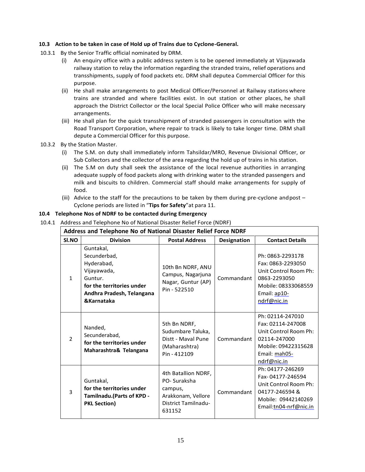## **10.3 Action to be taken in case of Hold up of Trains due to Cyclone-General.**

- 10.3.1 By the Senior Traffic official nominated by DRM.
	- (i) An enquiry office with a public address system is to be opened immediately at Vijayawada railway station to relay the information regarding the stranded trains, relief operations and transshipments, supply of food packets etc. DRM shall deputea Commercial Officer for this purpose.
	- (ii) He shall make arrangements to post Medical Officer/Personnel at Railway stations where trains are stranded and where facilities exist. In out station or other places, he shall approach the District Collector or the local Special Police Officer who will make necessary arrangements.
	- (iii) He shall plan for the quick transshipment of stranded passengers in consultation with the Road Transport Corporation, where repair to track is likely to take longer time. DRM shall depute a Commercial Officer for this purpose.
- 10.3.2 By the Station Master.
	- (i) The S.M. on duty shall immediately inform Tahsildar/MRO, Revenue Divisional Officer, or Sub Collectors and the collector of the area regarding the hold up of trains in his station.
	- (ii) The S.M on duty shall seek the assistance of the local revenue authorities in arranging adequate supply of food packets along with drinking water to the stranded passengers and milk and biscuits to children. Commercial staff should make arrangements for supply of food.
	- (iii) Advice to the staff for the precautions to be taken by them during pre-cyclone and post  $-$ Cyclone periods are listed in "**Tips for Safety**"at para 11.

## **10.4 Telephone Nos of NDRF to be contacted during Emergency**

10.4.1 Address and Telephone No of National Disaster Relief Force (NDRF)

| Address and Telephone No of National Disaster Relief Force NDRF |                                                                                                                                           |                                                                                                      |                    |                                                                                                                                       |  |
|-----------------------------------------------------------------|-------------------------------------------------------------------------------------------------------------------------------------------|------------------------------------------------------------------------------------------------------|--------------------|---------------------------------------------------------------------------------------------------------------------------------------|--|
| SI.NO                                                           | <b>Division</b>                                                                                                                           | <b>Postal Address</b>                                                                                | <b>Designation</b> | <b>Contact Details</b>                                                                                                                |  |
| $\mathbf{1}$                                                    | Guntakal,<br>Secunderbad,<br>Hyderabad,<br>Vijayawada,<br>Guntur.<br>for the territories under<br>Andhra Pradesh, Telangana<br>&Karnataka | 10th Bn NDRF, ANU<br>Campus, Nagarjuna<br>Nagar, Guntur (AP)<br>Pin - 522510                         | Commandant         | Ph: 0863-2293178<br>Fax: 0863-2293050<br>Unit Control Room Ph:<br>0863-2293050<br>Mobile: 08333068559<br>Email: ap10-<br>ndrf@nic.in  |  |
| $\overline{\phantom{a}}$                                        | Nanded,<br>Secunderabad,<br>for the territories under<br>Maharashtra& Telangana                                                           | 5th Bn NDRF,<br>Sudumbare Taluka,<br>Distt - Maval Pune<br>(Maharashtra)<br>Pin - 412109             | Commandant         | Ph: 02114-247010<br>Fax: 02114-247008<br>Unit Control Room Ph:<br>02114-247000<br>Mobile: 09422315628<br>Email: mah05-<br>ndrf@nic.in |  |
| 3                                                               | Guntakal,<br>for the territories under<br>Tamilnadu.(Parts of KPD -<br><b>PKL Section)</b>                                                | 4th Batallion NDRF,<br>PO-Suraksha<br>campus,<br>Arakkonam, Vellore<br>District Tamilnadu-<br>631152 | Commandant         | Ph: 04177-246269<br>Fax-04177-246594<br>Unit Control Room Ph:<br>04177-246594 &<br>Mobile: 09442140269<br>Email:tn04-nrf@nic.in       |  |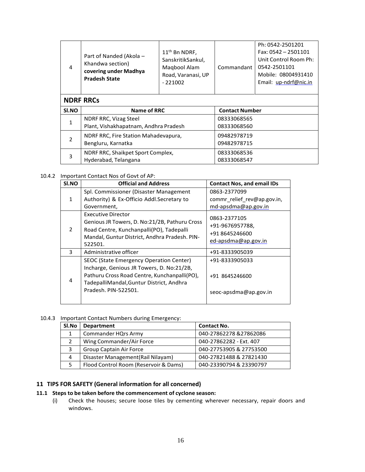| $\overline{4}$           | Part of Nanded (Akola -<br>Khandwa section)<br>covering under Madhya<br><b>Pradesh State</b> | $11th$ Bn NDRF,<br>SanskritikSankul,<br>Magbool Alam<br>Road, Varanasi, UP<br>$-221002$ | Commandant            | Ph: 0542-2501201<br>Fax: $0542 - 2501101$<br>Unit Control Room Ph:<br>0542-2501101<br>Mobile: 08004931410<br>Email: up-ndrf@nic.in |  |
|--------------------------|----------------------------------------------------------------------------------------------|-----------------------------------------------------------------------------------------|-----------------------|------------------------------------------------------------------------------------------------------------------------------------|--|
|                          | <b>NDRF RRCs</b>                                                                             |                                                                                         |                       |                                                                                                                                    |  |
| SI.NO                    | Name of RRC                                                                                  |                                                                                         | <b>Contact Number</b> |                                                                                                                                    |  |
| $\overline{1}$           | NDRF RRC, Vizag Steel                                                                        |                                                                                         | 08333068565           |                                                                                                                                    |  |
|                          | Plant, Vishakhapatnam, Andhra Pradesh                                                        |                                                                                         | 08333068560           |                                                                                                                                    |  |
|                          | NDRF RRC, Fire Station Mahadevapura,                                                         |                                                                                         | 09482978719           |                                                                                                                                    |  |
| $\overline{\phantom{a}}$ | Bengluru, Karnatka                                                                           |                                                                                         | 09482978715           |                                                                                                                                    |  |
| 3                        | NDRF RRC, Shaikpet Sport Complex,                                                            |                                                                                         | 08333068536           |                                                                                                                                    |  |
|                          | Hyderabad, Telangana                                                                         |                                                                                         | 08333068547           |                                                                                                                                    |  |

#### 10.4.2 Important Contact Nos of Govt of AP:

| SI.NO         | <b>Official and Address</b>                                                                                                                                                                              | <b>Contact Nos, and email IDs</b>                                        |
|---------------|----------------------------------------------------------------------------------------------------------------------------------------------------------------------------------------------------------|--------------------------------------------------------------------------|
| 1             | Spl. Commissioner (Disaster Management<br>Authority) & Ex-Officio Addl. Secretary to<br>Government,                                                                                                      | 0863-2377099<br>commr_relief_rev@ap.gov.in,<br>md-apsdma@ap.gov.in       |
| $\mathcal{P}$ | Executive Director<br>Genious JR Towers, D. No:21/2B, Pathuru Cross<br>Road Centre, Kunchanpalli(PO), Tadepalli<br>Mandal, Guntur District, Andhra Pradesh. PIN-<br>522501.                              | 0863-2377105<br>+91-9676957788,<br>+91 8645246600<br>ed-apsdma@ap.gov.in |
| 3             | Administrative officer                                                                                                                                                                                   | +91-8333905039                                                           |
| 4             | SEOC (State Emergency Operation Center)<br>Incharge, Genious JR Towers, D. No:21/2B,<br>Pathuru Cross Road Centre, Kunchanpalli(PO),<br>TadepalliMandal, Guntur District, Andhra<br>Pradesh. PIN-522501. | +91-8333905033<br>+91 8645246600<br>seoc-apsdma@ap.gov.in                |

## 10.4.3 Important Contact Numbers during Emergency:

| SI.No | <b>Department</b>                     | <b>Contact No.</b>      |
|-------|---------------------------------------|-------------------------|
| 1     | <b>Commander HQrs Army</b>            | 040-27862278 &27862086  |
|       | Wing Commander/Air Force              | 040-27862282 - Ext. 407 |
| 3     | Group Captain Air Force               | 040-27753905 & 27753500 |
| 4     | Disaster Management (Rail Nilayam)    | 040-27821488 & 27821430 |
| 5     | Flood Control Room (Reservoir & Dams) | 040-23390794 & 23390797 |

# **11 TIPS FOR SAFETY (General information for all concerned)**

# **11.1 Steps to be taken before the commencement of cyclone season:**

(i) Check the houses; secure loose tiles by cementing wherever necessary, repair doors and windows.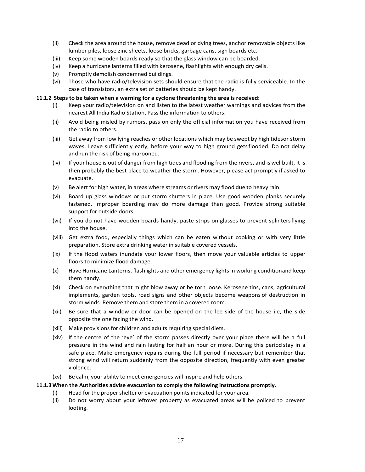- (ii) Check the area around the house, remove dead or dying trees, anchor removable objects like lumber piles, loose zinc sheets, loose bricks, garbage cans, sign boards etc.
- (iii) Keep some wooden boards ready so that the glass window can be boarded.
- (iv) Keep a hurricane lanterns filled with kerosene, flashlights with enough dry cells.
- (v) Promptly demolish condemned buildings.
- (vi) Those who have radio/television sets should ensure that the radio is fully serviceable. In the case of transistors, an extra set of batteries should be kept handy.

#### **11.1.2 Steps to be taken when a warning for a cyclone threatening the area is received:**

- (i) Keep your radio/television on and listen to the latest weather warnings and advices from the nearest All India Radio Station, Pass the information to others.
- (ii) Avoid being misled by rumors, pass on only the official information you have received from the radio to others.
- (iii) Get away from low lying reaches or other locations which may be swept by high tidesor storm waves. Leave sufficiently early, before your way to high ground getsflooded. Do not delay and run the risk of being marooned.
- (iv) If your house is out of danger from high tides and flooding from the rivers, and is wellbuilt, it is then probably the best place to weather the storm. However, please act promptly if asked to evacuate.
- (v) Be alert for high water, in areas where streams or rivers may flood due to heavy rain.
- (vi) Board up glass windows or put storm shutters in place. Use good wooden planks securely fastened. Improper boarding may do more damage than good. Provide strong suitable support for outside doors.
- (vii) If you do not have wooden boards handy, paste strips on glasses to prevent splintersflying into the house.
- (viii) Get extra food, especially things which can be eaten without cooking or with very little preparation. Store extra drinking water in suitable covered vessels.
- (ix) If the flood waters inundate your lower floors, then move your valuable articles to upper floors to minimize flood damage.
- (x) Have Hurricane Lanterns, flashlights and other emergency lights in working conditionand keep them handy.
- (xi) Check on everything that might blow away or be torn loose. Kerosene tins, cans, agricultural implements, garden tools, road signs and other objects become weapons of destruction in storm winds. Remove them and store them in a covered room.
- (xii) Be sure that a window or door can be opened on the lee side of the house i.e, the side opposite the one facing the wind.
- (xiii) Make provisions for children and adults requiring special diets.
- (xiv) If the centre of the 'eye' of the storm passes directly over your place there will be a full pressure in the wind and rain lasting for half an hour or more. During this period stay in a safe place. Make emergency repairs during the full period if necessary but remember that strong wind will return suddenly from the opposite direction, frequently with even greater violence.
- (xv) Be calm, your ability to meet emergencies will inspire and help others.

#### **11.1.3When the Authorities advise evacuation to comply the following instructions promptly.**

- (i) Head forthe propershelter or evacuation points indicated for your area.
- (ii) Do not worry about your leftover property as evacuated areas will be policed to prevent looting.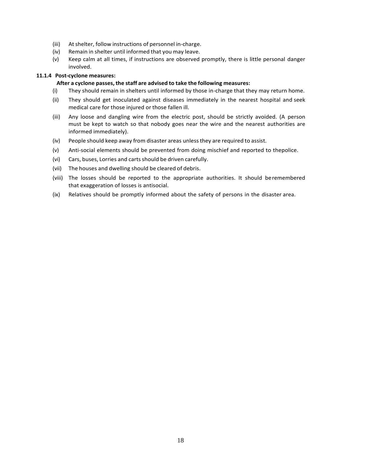- (iii) At shelter, follow instructions of personnel in-charge.
- (iv) Remain in shelter until informed that you may leave.
- (v) Keep calm at all times, if instructions are observed promptly, there is little personal danger involved.

## **11.1.4 Post-cyclone measures:**

## **After a cyclone passes, the staff are advised to take the following measures:**

- (i) They should remain in shelters until informed by those in-charge that they may return home.
- (ii) They should get inoculated against diseases immediately in the nearest hospital and seek medical care for those injured or those fallen ill.
- (iii) Any loose and dangling wire from the electric post, should be strictly avoided. (A person must be kept to watch so that nobody goes near the wire and the nearest authorities are informed immediately).
- (iv) People should keep away from disaster areas unlessthey are required to assist.
- (v) Anti-social elements should be prevented from doing mischief and reported to thepolice.
- (vi) Cars, buses, Lorries and carts should be driven carefully.
- (vii) The houses and dwelling should be cleared of debris.
- (viii) The losses should be reported to the appropriate authorities. It should beremembered that exaggeration of losses is antisocial.
- (ix) Relatives should be promptly informed about the safety of persons in the disaster area.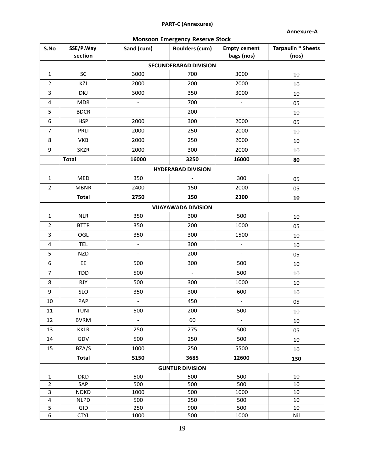# **PART-C (Annexures)**

**Annexure-A**

|  | <b>Monsoon Emergency Reserve Stock</b> |  |  |
|--|----------------------------------------|--|--|
|--|----------------------------------------|--|--|

| S.No                         | SSE/P.Way<br>section | Sand (cum)               | <b>Boulders (cum)</b>      | <b>Empty cement</b><br>bags (nos) | <b>Tarpaulin * Sheets</b><br>(nos) |  |  |  |
|------------------------------|----------------------|--------------------------|----------------------------|-----------------------------------|------------------------------------|--|--|--|
| <b>SECUNDERABAD DIVISION</b> |                      |                          |                            |                                   |                                    |  |  |  |
| $\mathbf{1}$                 | SC                   | 3000                     | 700                        | 3000                              | 10                                 |  |  |  |
| $\overline{2}$               | KZJ                  | 2000                     | 200                        | 2000                              | 10                                 |  |  |  |
| 3                            | DKJ                  | 3000                     | 350                        | 3000                              | 10                                 |  |  |  |
| 4                            | <b>MDR</b>           | $\blacksquare$           | 700                        | $\blacksquare$                    | 05                                 |  |  |  |
| 5                            | <b>BDCR</b>          |                          | 200                        |                                   | 10                                 |  |  |  |
| 6                            | <b>HSP</b>           | 2000                     | 300                        | 2000                              | 05                                 |  |  |  |
| $\overline{7}$               | PRLI                 | 2000                     | 250                        | 2000                              | 10                                 |  |  |  |
| 8                            | <b>VKB</b>           | 2000                     | 250                        | 2000                              | 10                                 |  |  |  |
| 9                            | <b>SKZR</b>          | 2000                     | 300                        | 2000                              | 10                                 |  |  |  |
|                              | <b>Total</b>         | 16000                    | 3250                       | 16000                             | 80                                 |  |  |  |
|                              |                      |                          | <b>HYDERABAD DIVISION</b>  |                                   |                                    |  |  |  |
| $\mathbf{1}$                 | MED                  | 350                      | $\overline{\phantom{a}}$   | 300                               | 05                                 |  |  |  |
| $\overline{2}$               | <b>MBNR</b>          | 2400                     | 150                        | 2000                              | 05                                 |  |  |  |
|                              | <b>Total</b>         | 2750                     | 150                        | 2300                              | 10                                 |  |  |  |
|                              |                      |                          | <b>VIJAYAWADA DIVISION</b> |                                   |                                    |  |  |  |
| $\mathbf{1}$                 | <b>NLR</b>           | 350                      | 300                        | 500                               |                                    |  |  |  |
| $\overline{2}$               | <b>BTTR</b>          | 350                      | 200                        | 1000                              | 10                                 |  |  |  |
|                              |                      |                          |                            |                                   | 05                                 |  |  |  |
| 3                            | OGL                  | 350                      | 300                        | 1500                              | 10                                 |  |  |  |
| 4                            | <b>TEL</b>           | $\overline{\phantom{a}}$ | 300                        | $\overline{\phantom{a}}$          | 10                                 |  |  |  |
| 5                            | <b>NZD</b>           | $\overline{\phantom{0}}$ | 200                        | $\blacksquare$                    | 05                                 |  |  |  |
| 6                            | EE                   | 500                      | 300                        | 500                               | 10                                 |  |  |  |
| $\overline{7}$               | <b>TDD</b>           | 500                      | $\overline{\phantom{a}}$   | 500                               | 10                                 |  |  |  |
| 8                            | <b>RJY</b>           | 500                      | 300                        | 1000                              | 10                                 |  |  |  |
| 9                            | <b>SLO</b>           | 350                      | 300                        | 600                               | 10                                 |  |  |  |
| 10                           | PAP                  |                          | 450                        | $\overline{a}$                    | 05                                 |  |  |  |
| $11\,$                       | TUNI                 | 500                      | 200                        | 500                               | $10\,$                             |  |  |  |
| 12                           | <b>BVRM</b>          | $\blacksquare$           | 60                         | $\overline{\phantom{a}}$          | 10                                 |  |  |  |
| 13                           | <b>KKLR</b>          | 250                      | 275                        | 500                               | 05                                 |  |  |  |
| 14                           | GDV                  | 500                      | 250                        | 500                               | 10                                 |  |  |  |
| 15                           | BZA/S                | 1000                     | 250                        | 5500                              | 10                                 |  |  |  |
|                              | <b>Total</b>         | 5150                     | 3685                       | 12600                             | 130                                |  |  |  |
|                              |                      |                          | <b>GUNTUR DIVISION</b>     |                                   |                                    |  |  |  |
| $\mathbf{1}$                 | <b>DKD</b>           | 500                      | 500                        | 500                               | 10                                 |  |  |  |
| $\overline{2}$               | SAP                  | 500                      | 500                        | 500                               | 10                                 |  |  |  |
| $\overline{\mathbf{3}}$      | <b>NDKD</b>          | 1000                     | 500                        | 1000                              | 10                                 |  |  |  |
| $\overline{\mathbf{4}}$      | <b>NLPD</b>          | 500                      | 250                        | 500                               | 10                                 |  |  |  |
| 5                            | GID                  | 250                      | 900                        | 500                               | 10                                 |  |  |  |
| 6                            | <b>CTYL</b>          | 1000                     | 500                        | 1000                              | Nil                                |  |  |  |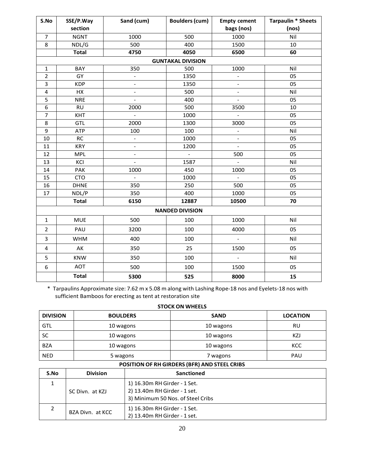| S.No           | SSE/P.Way    | Sand (cum)               | <b>Boulders (cum)</b>    | <b>Empty cement</b>      | <b>Tarpaulin * Sheets</b> |
|----------------|--------------|--------------------------|--------------------------|--------------------------|---------------------------|
|                | section      |                          |                          | bags (nos)               | (nos)                     |
| $\overline{7}$ | <b>NGNT</b>  | 1000                     | 500                      | 1000                     | Nil                       |
| 8              | NDL/G        | 500                      | 400                      | 1500                     | 10                        |
|                | <b>Total</b> | 4750                     | 4050                     | 6500                     | 60                        |
|                |              |                          | <b>GUNTAKAL DIVISION</b> |                          |                           |
| $\mathbf 1$    | BAY          | 350                      | 500                      | 1000                     | Nil                       |
| $\overline{2}$ | GY           |                          | 1350                     |                          | 05                        |
| 3              | <b>KDP</b>   | $\qquad \qquad -$        | 1350                     | $\overline{\phantom{a}}$ | 05                        |
| 4              | HX           | $\overline{\phantom{a}}$ | 500                      | $\blacksquare$           | Nil                       |
| 5              | <b>NRE</b>   | $\frac{1}{2}$            | 400                      | $\frac{1}{2}$            | 05                        |
| 6              | <b>RU</b>    | 2000                     | 500                      | 3500                     | 10                        |
| $\overline{7}$ | KHT          |                          | 1000                     |                          | 05                        |
| 8              | <b>GTL</b>   | 2000                     | 1300                     | 3000                     | 05                        |
| 9              | ATP          | 100                      | 100                      | $\blacksquare$           | Nil                       |
| 10             | RC           | $\blacksquare$           | 1000                     | $\blacksquare$           | 05                        |
| 11             | <b>KRY</b>   | $\qquad \qquad -$        | 1200                     | $\blacksquare$           | 05                        |
| 12             | <b>MPL</b>   | $\overline{\phantom{0}}$ | $\frac{1}{2}$            | 500                      | 05                        |
| 13             | KCI          | $\frac{1}{2}$            | 1587                     | $\blacksquare$           | Nil                       |
| 14             | PAK          | 1000                     | 450                      | 1000                     | 05                        |
| 15             | <b>CTO</b>   | $\overline{a}$           | 1000                     | $\omega$                 | 05                        |
| 16             | <b>DHNE</b>  | 350                      | 250                      | 500                      | 05                        |
| 17             | NDL/P        | 350                      | 400                      | 1000                     | 05                        |
|                | <b>Total</b> | 6150                     | 12887                    | 10500                    | 70                        |
|                |              |                          | <b>NANDED DIVISION</b>   |                          |                           |
| $\mathbf{1}$   | <b>MUE</b>   | 500                      | 100                      | 1000                     | Nil                       |
| $\overline{2}$ | PAU          | 3200                     | 100                      | 4000                     | 05                        |
| 3              | <b>WHM</b>   | 400                      | 100                      | $\overline{\phantom{a}}$ | Nil                       |
| 4              | AK           | 350                      | 25                       | 1500                     | 05                        |
| 5              | <b>KNW</b>   | 350                      | 100                      | $\bar{\mathcal{L}}$      | Nil                       |
| 6              | <b>AOT</b>   | 500                      | 100                      | 1500                     | 05                        |
|                | <b>Total</b> | 5300                     | 525                      | 8000                     | 15                        |

\* Tarpaulins Approximate size: 7.62 m x 5.08 m along with Lashing Rope-18 nos and Eyelets-18 nos with sufficient Bamboos for erecting as tent at restoration site

#### **STOCK ON WHEELS**

| <b>DIVISION</b> | <b>BOULDERS</b> | <b>SAND</b> | <b>LOCATION</b> |
|-----------------|-----------------|-------------|-----------------|
| GTL             | 10 wagons       | 10 wagons   | RU              |
| SC              | 10 wagons       | 10 wagons   | KZJ             |
| <b>BZA</b>      | 10 wagons       | 10 wagons   | KCC             |
| <b>NED</b>      | 5 wagons        | 7 wagons    | PAU             |

# **POSITION OF RH GIRDERS (BFR) AND STEEL CRIBS**

| S.No | <b>Division</b>  | <b>Sanctioned</b>                                                                                 |
|------|------------------|---------------------------------------------------------------------------------------------------|
|      | SC Divn. at KZJ  | 1) 16.30m RH Girder - 1 Set.<br>2) 13.40m RH Girder - 1 set.<br>3) Minimum 50 Nos. of Steel Cribs |
|      | BZA Divn. at KCC | 1) 16.30m RH Girder - 1 Set.<br>2) 13.40m RH Girder - 1 set.                                      |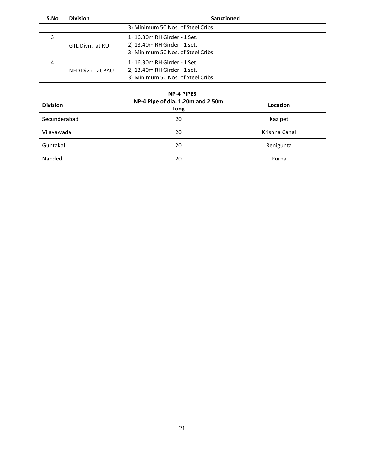| S.No | <b>Division</b>  | <b>Sanctioned</b>                                                                                 |  |
|------|------------------|---------------------------------------------------------------------------------------------------|--|
|      |                  | 3) Minimum 50 Nos. of Steel Cribs                                                                 |  |
| 3    | GTL Divn. at RU  | 1) 16.30m RH Girder - 1 Set.<br>2) 13.40m RH Girder - 1 set.<br>3) Minimum 50 Nos. of Steel Cribs |  |
| 4    | NED Divn. at PAU | 1) 16.30m RH Girder - 1 Set.<br>2) 13.40m RH Girder - 1 set.<br>3) Minimum 50 Nos. of Steel Cribs |  |

#### **NP-4 PIPES**

| <b>Division</b> | NP-4 Pipe of dia. 1.20m and 2.50m<br>Long | Location      |  |  |  |
|-----------------|-------------------------------------------|---------------|--|--|--|
| Secunderabad    | 20                                        | Kazipet       |  |  |  |
| Vijayawada      | 20                                        | Krishna Canal |  |  |  |
| Guntakal        | 20                                        | Renigunta     |  |  |  |
| Nanded          | 20                                        | Purna         |  |  |  |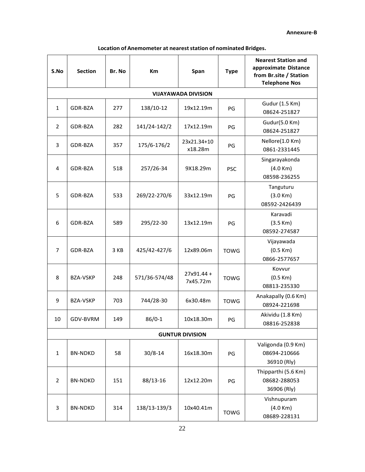| S.No           | <b>Section</b>  | Br. No | Km            | Span                       | <b>Type</b> | <b>Nearest Station and</b><br>approximate Distance<br>from Br.site / Station<br><b>Telephone Nos</b> |
|----------------|-----------------|--------|---------------|----------------------------|-------------|------------------------------------------------------------------------------------------------------|
|                |                 |        |               | <b>VIJAYAWADA DIVISION</b> |             |                                                                                                      |
| $\mathbf{1}$   | GDR-BZA         | 277    | 138/10-12     | 19x12.19m                  | PG          | Gudur (1.5 Km)<br>08624-251827                                                                       |
| 2              | GDR-BZA         | 282    | 141/24-142/2  | 17x12.19m                  | PG          | Gudur(5.0 Km)<br>08624-251827                                                                        |
| 3              | GDR-BZA         | 357    | 175/6-176/2   | 23x21.34+10<br>x18.28m     | PG          | Nellore(1.0 Km)<br>0861-2331445                                                                      |
| 4              | GDR-BZA         | 518    | 257/26-34     | 9X18.29m                   | <b>PSC</b>  | Singarayakonda<br>(4.0 Km)<br>08598-236255                                                           |
| 5              | GDR-BZA         | 533    | 269/22-270/6  | 33x12.19m                  | PG          | Tanguturu<br>(3.0 Km)<br>08592-2426439                                                               |
| 6              | GDR-BZA         | 589    | 295/22-30     | 13x12.19m                  | PG          | Karavadi<br>(3.5 Km)<br>08592-274587                                                                 |
| $\overline{7}$ | GDR-BZA         | 3 KB   | 425/42-427/6  | 12x89.06m                  | <b>TOWG</b> | Vijayawada<br>(0.5 Km)<br>0866-2577657                                                               |
| 8              | <b>BZA-VSKP</b> | 248    | 571/36-574/48 | $27x91.44 +$<br>7x45.72m   | <b>TOWG</b> | Kovvur<br>(0.5 Km)<br>08813-235330                                                                   |
| 9              | <b>BZA-VSKP</b> | 703    | 744/28-30     | 6x30.48m                   | <b>TOWG</b> | Anakapally (0.6 Km)<br>08924-221698                                                                  |
| 10             | GDV-BVRM        | 149    | $86/0-1$      | 10x18.30m                  | PG          | Akividu (1.8 Km)<br>08816-252838                                                                     |
|                |                 |        |               | <b>GUNTUR DIVISION</b>     |             |                                                                                                      |
| $\mathbf{1}$   | <b>BN-NDKD</b>  | 58     | $30/8 - 14$   | 16x18.30m                  | PG          | Valigonda (0.9 Km)<br>08694-210666<br>36910 (Rly)                                                    |
| 2              | <b>BN-NDKD</b>  | 151    | 88/13-16      | 12x12.20m                  | PG          | Thipparthi (5.6 Km)<br>08682-288053<br>36906 (Rly)                                                   |
| 3              | <b>BN-NDKD</b>  | 314    | 138/13-139/3  | 10x40.41m                  | <b>TOWG</b> | Vishnupuram<br>(4.0 Km)<br>08689-228131                                                              |

# **Location of Anemometer at neareststation of nominated Bridges.**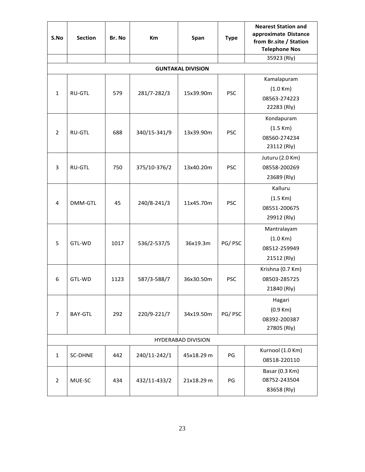| S.No           | <b>Section</b> | Br. No | Km           | Span                      | <b>Type</b> | <b>Nearest Station and</b><br>approximate Distance<br>from Br.site / Station<br><b>Telephone Nos</b> |
|----------------|----------------|--------|--------------|---------------------------|-------------|------------------------------------------------------------------------------------------------------|
|                |                |        |              |                           |             | 35923 (Rly)                                                                                          |
|                |                |        |              | <b>GUNTAKAL DIVISION</b>  |             |                                                                                                      |
| $\mathbf{1}$   | <b>RU-GTL</b>  | 579    | 281/7-282/3  | 15x39.90m                 | <b>PSC</b>  | Kamalapuram<br>(1.0 Km)<br>08563-274223<br>22283 (Rly)                                               |
| 2              | <b>RU-GTL</b>  | 688    | 340/15-341/9 | 13x39.90m                 | <b>PSC</b>  | Kondapuram<br>(1.5 Km)<br>08560-274234<br>23112 (Rly)                                                |
| 3              | <b>RU-GTL</b>  | 750    | 375/10-376/2 | 13x40.20m                 | <b>PSC</b>  | Juturu (2.0 Km)<br>08558-200269<br>23689 (Rly)                                                       |
| 4              | DMM-GTL        | 45     | 240/8-241/3  | 11x45.70m                 | <b>PSC</b>  | Kalluru<br>(1.5 Km)<br>08551-200675<br>29912 (Rly)                                                   |
| 5              | GTL-WD         | 1017   | 536/2-537/5  | 36x19.3m                  | PG/PSC      | Mantralayam<br>(1.0 Km)<br>08512-259949<br>21512 (Rly)                                               |
| 6              | GTL-WD         | 1123   | 587/3-588/7  | 36x30.50m                 | <b>PSC</b>  | Krishna (0.7 Km)<br>08503-285725<br>21840 (Rly)                                                      |
| $\overline{7}$ | <b>BAY-GTL</b> | 292    | 220/9-221/7  | 34x19.50m                 | PG/PSC      | Hagari<br>(0.9 Km)<br>08392-200387<br>27805 (Rly)                                                    |
|                |                |        |              | <b>HYDERABAD DIVISION</b> |             |                                                                                                      |
| $\mathbf{1}$   | <b>SC-DHNE</b> | 442    | 240/11-242/1 | 45x18.29 m                | PG          | Kurnool (1.0 Km)<br>08518-220110                                                                     |
| $\overline{2}$ | MUE-SC         | 434    | 432/11-433/2 | 21x18.29 m                | PG          | Basar (0.3 Km)<br>08752-243504<br>83658 (Rly)                                                        |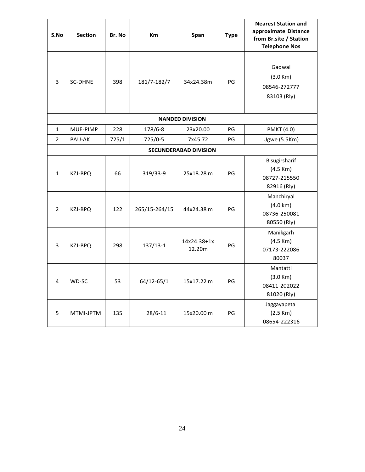| S.No           | <b>Section</b> | Br. No | <b>Km</b>     | Span                         | <b>Type</b> | <b>Nearest Station and</b><br>approximate Distance<br>from Br.site / Station<br><b>Telephone Nos</b> |
|----------------|----------------|--------|---------------|------------------------------|-------------|------------------------------------------------------------------------------------------------------|
| 3              | <b>SC-DHNE</b> | 398    | 181/7-182/7   | 34x24.38m                    | PG          | Gadwal<br>(3.0 Km)<br>08546-272777<br>83103 (Rly)                                                    |
|                |                |        |               | <b>NANDED DIVISION</b>       |             |                                                                                                      |
| $\mathbf{1}$   | MUE-PIMP       | 228    | 178/6-8       | 23x20.00                     | PG          | <b>PMKT (4.0)</b>                                                                                    |
| 2              | PAU-AK         | 725/1  | 725/0-5       | 7x45.72                      | PG          | <b>Ugwe (5.5Km)</b>                                                                                  |
|                |                |        |               | <b>SECUNDERABAD DIVISION</b> |             |                                                                                                      |
| $\mathbf{1}$   | KZJ-BPQ        | 66     | 319/33-9      | 25x18.28 m                   | PG          | Bisugirsharif<br>$(4.5$ Km $)$<br>08727-215550<br>82916 (Rly)                                        |
| $\overline{2}$ | KZJ-BPQ        | 122    | 265/15-264/15 | 44x24.38 m                   | PG          | Manchiryal<br>$(4.0 \text{ km})$<br>08736-250081<br>80550 (Rly)                                      |
| 3              | KZJ-BPQ        | 298    | $137/13-1$    | 14x24.38+1x<br>12.20m        | PG          | Manikgarh<br>$(4.5$ Km $)$<br>07173-222086<br>80037                                                  |
| 4              | WD-SC          | 53     | 64/12-65/1    | 15x17.22 m                   | PG          | Mantatti<br>(3.0 Km)<br>08411-202022<br>81020 (Rly)                                                  |
| 5              | MTMI-JPTM      | 135    | $28/6 - 11$   | 15x20.00 m                   | PG          | Jaggayapeta<br>(2.5 Km)<br>08654-222316                                                              |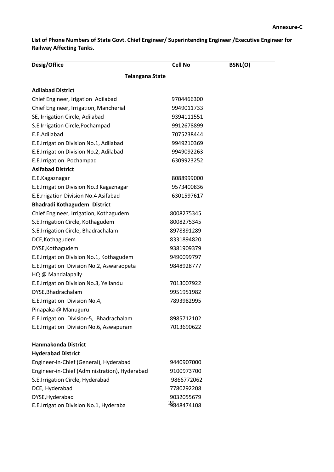**List of Phone Numbers of State Govt. Chief Engineer/ Superintending Engineer /Executive Engineer for Railway Affecting Tanks.**

| Desig/Office                                  | <b>Cell No</b> | <b>BSNL(O)</b> |  |  |  |  |  |
|-----------------------------------------------|----------------|----------------|--|--|--|--|--|
| <b>Telangana State</b>                        |                |                |  |  |  |  |  |
| <b>Adilabad District</b>                      |                |                |  |  |  |  |  |
| Chief Engineer, Irigation Adilabad            | 9704466300     |                |  |  |  |  |  |
| Chief Engineer, Irrigation, Mancherial        | 9949011733     |                |  |  |  |  |  |
| SE, Irrigation Circle, Adilabad               | 9394111551     |                |  |  |  |  |  |
| S.E Irrigation Circle, Pochampad              | 9912678899     |                |  |  |  |  |  |
| E.E.Adilabad                                  | 7075238444     |                |  |  |  |  |  |
| E.E.Irrigation Division No.1, Adilabad        | 9949210369     |                |  |  |  |  |  |
| E.E.Irrigation Division No.2, Adilabad        | 9949092263     |                |  |  |  |  |  |
| E.E.Irrigation Pochampad                      | 6309923252     |                |  |  |  |  |  |
| <b>Asifabad District</b>                      |                |                |  |  |  |  |  |
| E.E.Kagaznagar                                | 8088999000     |                |  |  |  |  |  |
| E.E.Irrigation Division No.3 Kagaznagar       | 9573400836     |                |  |  |  |  |  |
| E.E.rrigation Division No.4 Asifabad          | 6301597617     |                |  |  |  |  |  |
| Bhadradi Kothagudem District                  |                |                |  |  |  |  |  |
| Chief Engineer, Irrigation, Kothagudem        | 8008275345     |                |  |  |  |  |  |
| S.E.Irrigation Circle, Kothagudem             | 8008275345     |                |  |  |  |  |  |
| S.E.Irrigation Circle, Bhadrachalam           | 8978391289     |                |  |  |  |  |  |
| DCE, Kothagudem                               | 8331894820     |                |  |  |  |  |  |
| DYSE, Kothagudem                              | 9381909379     |                |  |  |  |  |  |
| E.E.Irrigation Division No.1, Kothagudem      | 9490099797     |                |  |  |  |  |  |
| E.E.Irrigation Division No.2, Aswaraopeta     | 9848928777     |                |  |  |  |  |  |
| HQ @ Mandalapally                             |                |                |  |  |  |  |  |
| E.E.Irrigation Division No.3, Yellandu        | 7013007922     |                |  |  |  |  |  |
| DYSE, Bhadrachalam                            | 9951951982     |                |  |  |  |  |  |
| E.E.Irrigation Division No.4,                 | 7893982995     |                |  |  |  |  |  |
| Pinapaka @ Manuguru                           |                |                |  |  |  |  |  |
| E.E.Irrigation Division-5, Bhadrachalam       | 8985712102     |                |  |  |  |  |  |
| E.E.Irrigation Division No.6, Aswapuram       | 7013690622     |                |  |  |  |  |  |
| <b>Hanmakonda District</b>                    |                |                |  |  |  |  |  |
| <b>Hyderabad District</b>                     |                |                |  |  |  |  |  |
| Engineer-in-Chief (General), Hyderabad        | 9440907000     |                |  |  |  |  |  |
| Engineer-in-Chief (Administration), Hyderabad | 9100973700     |                |  |  |  |  |  |
| S.E.Irrigation Circle, Hyderabad              | 9866772062     |                |  |  |  |  |  |
| DCE, Hyderabad                                | 7780292208     |                |  |  |  |  |  |
| DYSE, Hyderabad                               | 9032055679     |                |  |  |  |  |  |
| E.E.Irrigation Division No.1, Hyderaba        | 29848474108    |                |  |  |  |  |  |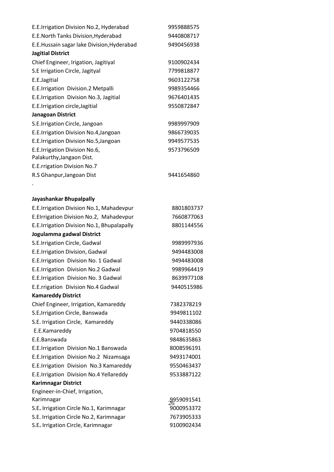| E.E.Irrigation Division No.2, Hyderabad    | 9959888575 |
|--------------------------------------------|------------|
| E.E. North Tanks Division, Hyderabad       | 9440808717 |
| E.E.Hussain sagar lake Division, Hyderabad | 9490456938 |
| <b>Jagitial District</b>                   |            |
| Chief Engineer, Irigation, Jagitiyal       | 9100902434 |
| S.E Irrigation Circle, Jagityal            | 7799818877 |
| E.E.Jagitial                               | 9603122758 |
| E.E.Irrigation Division.2 Metpalli         | 9989354466 |
| E.E.Irrigation Division No.3, Jagitial     | 9676401435 |
| E.E.Irrigation circle, Jagitial            | 9550872847 |
| Janagoan District                          |            |
| S.E.Irrigation Circle, Jangoan             | 9989997909 |
| E.E.Irrigation Division No.4, Jangoan      | 9866739035 |
| E.E.Irrigation Division No.5, Jangoan      | 9949577535 |
| E.E.Irrigation Division No.6,              | 9573796509 |
| Palakurthy, Jangaon Dist.                  |            |
| E.E.rrigation Division No.7                |            |
| R.S Ghanpur, Jangoan Dist                  | 9441654860 |
|                                            |            |
| وبالمساحين وبالتراف والمتحام والمستحقق     |            |

# **Jayashankar Bhupalpally**

| E.E.Irrigation Division No.1, Mahadevpur   | 8801803737 |
|--------------------------------------------|------------|
| E.Elrrigation Division No.2, Mahadevpur    | 7660877063 |
| E.E.Irrigation Division No.1, Bhupalapally | 8801144556 |
| Jogulamma gadwal District                  |            |
| S.E.Irrigation Circle, Gadwal              | 9989997936 |
| E.E.Irrigation Division, Gadwal            | 9494483008 |
| E.E.Irrigation Division No. 1 Gadwal       | 9494483008 |
| E.E.Irrigation Division No.2 Gadwal        | 9989964419 |
| E.E.Irrigation Division No. 3 Gadwal       | 8639977108 |
| E.E.rrigation Division No.4 Gadwal         | 9440515986 |
| <b>Kamareddy District</b>                  |            |
| Chief Engineer, Irrigation, Kamareddy      | 7382378219 |
| S.E.Irrigation Circle, Banswada            | 9949811102 |
| S.E. Irrigation Circle, Kamareddy          | 9440338086 |
| E.E.Kamareddy                              | 9704818550 |
| E.E.Banswada                               | 9848635863 |
| E.E.Irrigation Division No.1 Banswada      | 8008596191 |
| E.E.Irrigation Division No.2 Nizamsaga     | 9493174001 |
| E.E.Irrigation Division No.3 Kamareddy     | 9550463437 |
| E.E.Irrigation Division No.4 Yellareddy    | 9533887122 |
| <b>Karimnagar District</b>                 |            |
| Engineer-in-Chief, Irrigation,             |            |
| Karimnagar                                 | 9959091541 |
| S.E. Irrigation Circle No.1, Karimnagar    | 9000953372 |
| S.E. Irrigation Circle No.2, Karimnagar    | 7673905333 |
| S.E. Irrigation Circle, Karimnagar         | 9100902434 |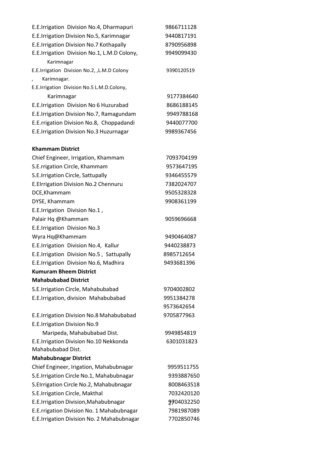| E.E.Irrigation Division No.4, Dharmapuri     | 9866711128 |
|----------------------------------------------|------------|
| E.E.Irrigation Division No.5, Karimnagar     | 9440817191 |
| E.E.Irrigation Division No.7 Kothapally      | 8790956898 |
| E.E.Irrigation Division No.1, L.M.D Colony,  | 9949099430 |
| Karimnagar                                   |            |
| E.E.Irrigation Division No.2, , L.M.D Colony | 9390120519 |
| Karimnagar.                                  |            |
| E.E.Irrigation Division No.5 L.M.D.Colony,   |            |
| Karimnagar                                   | 9177384640 |
| E.E.Irrigation Division No 6 Huzurabad       | 8686188145 |
| E.E.Irrigation Division No.7, Ramagundam     | 9949788168 |
| E.E.rrigation Division No.8, Choppadandi     | 9440077700 |
| E.E.Irrigation Division No.3 Huzurnagar      | 9989367456 |
| <b>Khammam District</b>                      |            |
| Chief Engineer, Irrigation, Khammam          | 7093704199 |
| S.E.rrigation Circle, Khammam                | 9573647195 |
| S.E.Irrigation Circle, Sattupally            | 9346455579 |
| <b>E.Elrrigation Division No.2 Chennuru</b>  | 7382024707 |
| DCE, Khammam                                 | 9505328328 |
| DYSE, Khammam                                | 9908361199 |
| E.E.Irrigation Division No.1,                |            |
| Palair Hq @Khammam                           | 9059696668 |
| E.E.Irrigation Division No.3                 |            |
| Wyra Hq@Khammam                              | 9490464087 |
| E.E.Irrigation Division No.4, Kallur         | 9440238873 |
| E.E.Irrigation Division No.5, Sattupally     | 8985712654 |
| E.E.Irrigation Division No.6, Madhira        | 9493681396 |
| <b>Kumuram Bheem District</b>                |            |
| <b>Mahabubabad District</b>                  |            |
| S.E.Irrigation Circle, Mahabubabad           | 9704002802 |
| E.E.Irrigation, division Mahabubabad         | 9951384278 |
|                                              | 9573642654 |
| E.E.Irrigation Division No.8 Mahabubabad     | 9705877963 |
| <b>E.E.Irrigation Division No.9</b>          |            |
| Maripeda, Mahabubabad Dist.                  | 9949854819 |
| E.E.Irrigation Division No.10 Nekkonda       | 6301031823 |
| Mahabubabad Dist.                            |            |
| <b>Mahabubnagar District</b>                 |            |
| Chief Engineer, Irigation, Mahabubnagar      | 9959511755 |
| S.E.Irrigation Circle No.1, Mahabubnagar     | 9393887650 |
| S.EIrrigation Circle No.2, Mahabubnagar      | 8008463518 |
| S.E.Irrigation Circle, Makthal               | 7032420120 |
| E.E.Irrigation Division, Mahabubnagar        | 9704032250 |
| E.E.rrigation Division No. 1 Mahabubnagar    | 7981987089 |
| E.E.Irrigation Division No. 2 Mahabubnagar   | 7702850746 |
|                                              |            |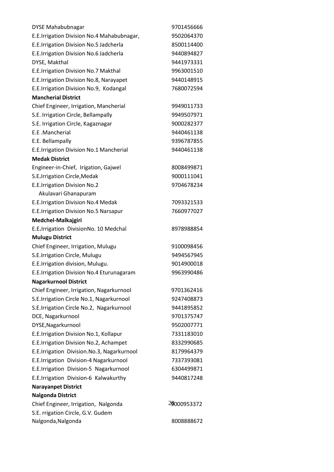| <b>DYSE Mahabubnagar</b>                   | 9701456666  |
|--------------------------------------------|-------------|
| E.E.Irrigation Division No.4 Mahabubnagar, | 9502064370  |
| E.E.Irrigation Division No.5 Jadcherla     | 8500114400  |
| E.E.Irrigation Division No.6 Jadcherla     | 9440894827  |
| DYSE, Makthal                              | 9441973331  |
| E.E.Irrigation Division No.7 Makthal       | 9963001510  |
| E.E.Irrigation Division No.8, Narayapet    | 9440148915  |
| E.E.Irrigation Division No.9, Kodangal     | 7680072594  |
| <b>Mancherial District</b>                 |             |
| Chief Engineer, Irrigation, Mancherial     | 9949011733  |
| S.E. Irrigation Circle, Bellampally        | 9949507971  |
| S.E. Irrigation Circle, Kagaznagar         | 9000282377  |
| E.E.Mancherial                             | 9440461138  |
| E.E. Bellampally                           | 9396787855  |
| E.E.Irrigation Division No.1 Mancherial    | 9440461138  |
| <b>Medak District</b>                      |             |
| Engineer-in-Chief, Irigation, Gajwel       | 8008499871  |
| S.E.Irrigation Circle, Medak               | 9000111041  |
| E.E.Irrigation Division No.2               | 9704678234  |
| Akulavari Ghanapuram                       |             |
| E.E.Irrigation Division No.4 Medak         | 7093321533  |
| E.E.Irrigation Division No.5 Narsapur      | 7660977027  |
| Medchel-Malkajgiri                         |             |
| E.E.Irrigation DivisionNo. 10 Medchal      | 8978988854  |
| <b>Mulugu District</b>                     |             |
| Chief Engineer, Irrigation, Mulugu         | 9100098456  |
| S.E.Irrigation Circle, Mulugu              | 9494567945  |
| E.E.Irrigation division, Mulugu.           | 9014900018  |
| E.E.Irrigation Division No.4 Eturunagaram  | 9963990486  |
| <b>Nagarkurnool District</b>               |             |
| Chief Engineer, Irrigation, Nagarkurnool   | 9701362416  |
| S.E.Irrigation Circle No.1, Nagarkurnool   | 9247408873  |
| S.E.Irrigation Circle No.2, Nagarkurnool   | 9441895852  |
| DCE, Nagarkurnool                          | 9701375747  |
| DYSE, Nagarkurnool                         | 9502007771  |
| E.E.Irrigation Division No.1, Kollapur     | 7331183010  |
| E.E.Irrigation Division No.2, Achampet     | 8332990685  |
| E.E.Irrigation Division.No.3, Nagarkurnool | 8179964379  |
| E.E.Irrigation Division-4 Nagarkurnool     | 7337393081  |
| E.E.Irrigation Division-5 Nagarkurnool     | 6304499871  |
| E.E.Irrigation Division-6 Kalwakurthy      | 9440817248  |
| <b>Narayanpet District</b>                 |             |
| <b>Nalgonda District</b>                   |             |
| Chief Engineer, Irrigation, Nalgonda       | 29000953372 |
| S.E. rrigation Circle, G.V. Gudem          |             |
| Nalgonda, Nalgonda                         | 8008888672  |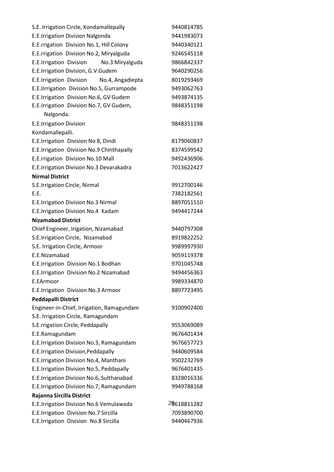| S.E. Irrigation Circle, Kondamallepally    | 9440814785  |
|--------------------------------------------|-------------|
| E.E.Irrigation Division Nalgonda           | 9441983073  |
| E.E.rrigation Division No.1, Hill Colony   | 9440340121  |
| E.E.rrigation Division No.2, Miryalguda    | 9246545118  |
| E.E.Irrigation Division<br>No.3 Miryalguda | 9866842337  |
| E.E.Irrigation Division, G.V.Gudem         | 9640290256  |
| E.E.Irrigation Division No.4, Angadiepta   | 8019293469  |
| E.E.IIrrigation Division No.5, Gurrampode  | 9493062763  |
| E.E.Irrigation Division No.6, GV Gudem     | 9493874135  |
| E.E.Irrigation Division No.7, GV Gudem,    | 9848351198  |
| Nalgonda.                                  |             |
| <b>E.E.Irrigation Division</b>             | 9848351198  |
| Kondamallepalli.                           |             |
| E.E.Irrigation Division No 8, Dindi        | 8179060837  |
| E.E.Irrigation Division No.9 Chinthapally  | 8374599542  |
| E.E.rrigation Division No.10 Mall          | 9492436906  |
| E.E.Irrigation Division No.3 Devarakadra   | 7013622427  |
| <b>Nirmal District</b>                     |             |
| S.E.Irrigation Circle, Nirmal              | 9912700146  |
| E.E.                                       | 7382182561  |
| E.E.Irrigation Division No.3 Nirmal        | 8897051510  |
| E.E.Irrigation Division No.4 Kadam         | 9494417244  |
| <b>Nizamabad District</b>                  |             |
| Chief Engineer, Irigation, Nizamabad       | 9440797308  |
| S.E.Irrigation Circle, Nizamabad           | 8919822252  |
| S.E. Irrigation Circle, Armoor             | 9989997930  |
| E.E.Nizamabad                              | 9059119378  |
| E.E.Irrigation Division No.1 Bodhan        | 9701045748  |
| E.E.Irrigation Division No.2 Nizamabad     | 9494456363  |
| E.EArmoor                                  | 9989334870  |
| E.E.Irrigation Division No.3 Armoor        | 8897723495  |
| <b>Peddapalli District</b>                 |             |
| Engineer-in-Chief, Irrigation, Ramagundam  | 9100902400  |
| S.E. Irrigation Circle, Ramagundam         |             |
| S.E.rrigation Circle, Peddapally           | 9553069089  |
| E.E.Ramagundam                             | 9676401434  |
| E.E.Irrigation Division No.3, Ramagundam   | 9676657723  |
| E.E.Irrigation Division, Peddapally        | 9440609584  |
| E.E.Irrigation Division No.4, Manthani     | 9502232769  |
| E.E.Irrigation Division No.5, Peddapally   | 9676401435  |
| E.E.Irrigation Division No.6, Sulthanabad  | 8328016336  |
| E.E.Irrigation Division No.7, Ramagundam   | 9949788168  |
| Rajanna Sircilla District                  |             |
| E.E.Irrigation Division No.6 Vemulawada    | 29618811282 |
| E.E.Irrigation Division No.7 Sircilla      | 7093890700  |
| E.E.Irrigation Division No.8 Sircilla      | 9440467936  |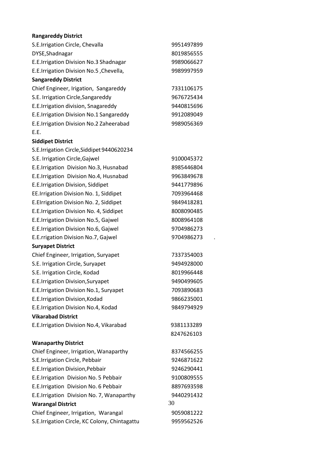# **Rangareddy District**

| S.E.Irrigation Circle, Chevalla               | 9951497899 |
|-----------------------------------------------|------------|
| DYSE, Shadnagar                               | 8019856555 |
| E.E.Irrigation Division No.3 Shadnagar        | 9989066627 |
| E.E.Irrigation Division No.5, Chevella,       | 9989997959 |
| <b>Sangareddy District</b>                    |            |
| Chief Engineer, Irigation, Sangareddy         | 7331106175 |
| S.E. Irrigation Circle, Sangareddy            | 9676725434 |
| E.E.Irrigation division, Snagareddy           | 9440815696 |
| E.E.Irrigation Division No.1 Sangareddy       | 9912089049 |
| E.E.Irrigation Division No.2 Zaheerabad       | 9989056369 |
| E.E.                                          |            |
| <b>Siddipet District</b>                      |            |
| S.E.Irrigation Circle, Siddipet 9440620234    |            |
| S.E. Irrigation Circle, Gajwel                | 9100045372 |
| E.E.Irrigation Division No.3, Husnabad        | 8985446804 |
| E.E.Irrigation Division No.4, Husnabad        | 9963849678 |
| E.E.Irrigation Division, Siddipet             | 9441779896 |
| EE.Irrigation Division No. 1, Siddipet        | 7093964468 |
| E.EIrrigation Division No. 2, Siddipet        | 9849418281 |
| E.E.Irrigation Division No. 4, Siddipet       | 8008090485 |
| E.E.Irrigation Division No.5, Gajwel          | 8008964108 |
| E.E.Irrigation Division No.6, Gajwel          | 9704986273 |
| E.E.rrigation Division No.7, Gajwel           | 9704986273 |
| <b>Suryapet District</b>                      |            |
| Chief Engineer, Irrigation, Suryapet          | 7337354003 |
| S.E. Irrigation Circle, Suryapet              | 9494928000 |
| S.E. Irrigation Circle, Kodad                 | 8019966448 |
| E.E.Irrigation Division, Suryapet             | 9490499605 |
| E.E.Irrigation Division No.1, Suryapet        | 7093890683 |
| E.E.Irrigation Division, Kodad                | 9866235001 |
| E.E.Irrigation Division No.4, Kodad           | 9849794929 |
| <b>Vikarabad District</b>                     |            |
| E.E.Irrigation Division No.4, Vikarabad       | 9381133289 |
|                                               | 8247626103 |
| <b>Wanaparthy District</b>                    |            |
| Chief Engineer, Irrigation, Wanaparthy        | 8374566255 |
| S.E.Irrigation Circle, Pebbair                | 9246871622 |
| E.E.Irrigation Division, Pebbair              | 9246290441 |
| E.E.Irrigation Division No. 5 Pebbair         | 9100809555 |
| E.E.Irrigation Division No. 6 Pebbair         | 8897693598 |
| E.E.Irrigation Division No. 7, Wanaparthy     | 9440291432 |
| <b>Warangal District</b>                      | 30         |
| Chief Engineer, Irrigation, Warangal          | 9059081222 |
| S.E.Irrigation Circle, KC Colony, Chintagattu | 9959562526 |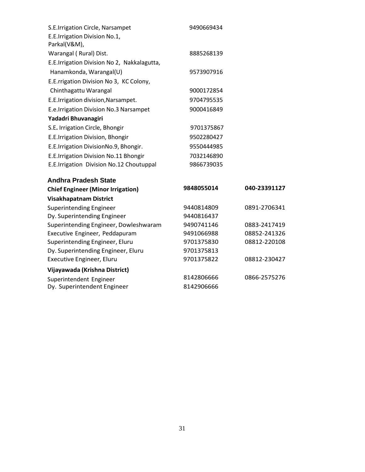| S.E.Irrigation Circle, Narsampet<br>E.E.Irrigation Division No.1,<br>Parkal(V&M), | 9490669434 |              |
|-----------------------------------------------------------------------------------|------------|--------------|
| Warangal (Rural) Dist.                                                            | 8885268139 |              |
| E.E.Irrigation Division No 2, Nakkalagutta,                                       |            |              |
| Hanamkonda, Warangal(U)                                                           | 9573907916 |              |
| E.E.rrigation Division No 3, KC Colony,                                           |            |              |
| Chinthagattu Warangal                                                             | 9000172854 |              |
| E.E.Irrigation division, Narsampet.                                               | 9704795535 |              |
| E.e.Irrigation Division No.3 Narsampet                                            | 9000416849 |              |
| Yadadri Bhuvanagiri                                                               |            |              |
| S.E. Irrigation Circle, Bhongir                                                   | 9701375867 |              |
| E.E.Irrigation Division, Bhongir                                                  | 9502280427 |              |
| E.E.Irrigation DivisionNo.9, Bhongir.                                             | 9550444985 |              |
| E.E.Irrigation Division No.11 Bhongir                                             | 7032146890 |              |
| E.E.Irrigation Division No.12 Choutuppal                                          | 9866739035 |              |
| <b>Andhra Pradesh State</b>                                                       |            |              |
| <b>Chief Engineer (Minor Irrigation)</b>                                          | 9848055014 | 040-23391127 |
| <b>Visakhapatnam District</b>                                                     |            |              |
| <b>Superintending Engineer</b>                                                    | 9440814809 | 0891-2706341 |
| Dy. Superintending Engineer                                                       | 9440816437 |              |
| Superintending Engineer, Dowleshwaram                                             | 9490741146 | 0883-2417419 |
| Executive Engineer, Peddapuram                                                    | 9491066988 | 08852-241326 |
| Superintending Engineer, Eluru                                                    | 9701375830 | 08812-220108 |
| Dy. Superintending Engineer, Eluru                                                | 9701375813 |              |
| Executive Engineer, Eluru                                                         | 9701375822 | 08812-230427 |
| Vijayawada (Krishna District)                                                     |            |              |
| Superintendent Engineer                                                           | 8142806666 | 0866-2575276 |
| Dy. Superintendent Engineer                                                       | 8142906666 |              |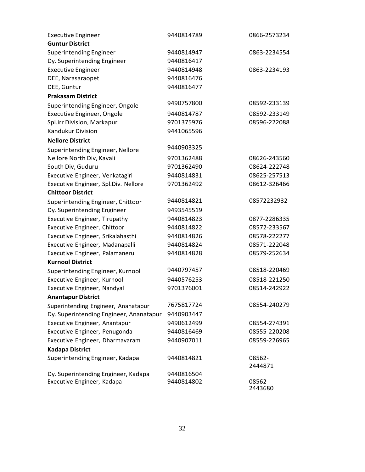| <b>Executive Engineer</b>               | 9440814789 | 0866-2573234      |
|-----------------------------------------|------------|-------------------|
| <b>Guntur District</b>                  |            |                   |
| <b>Superintending Engineer</b>          | 9440814947 | 0863-2234554      |
| Dy. Superintending Engineer             | 9440816417 |                   |
| <b>Executive Engineer</b>               | 9440814948 | 0863-2234193      |
| DEE, Narasaraopet                       | 9440816476 |                   |
| DEE, Guntur                             | 9440816477 |                   |
| <b>Prakasam District</b>                |            |                   |
| Superintending Engineer, Ongole         | 9490757800 | 08592-233139      |
| <b>Executive Engineer, Ongole</b>       | 9440814787 | 08592-233149      |
| Spl.irr Division, Markapur              | 9701375976 | 08596-222088      |
| <b>Kandukur Division</b>                | 9441065596 |                   |
| <b>Nellore District</b>                 |            |                   |
| Superintending Engineer, Nellore        | 9440903325 |                   |
| Nellore North Div, Kavali               | 9701362488 | 08626-243560      |
| South Div, Guduru                       | 9701362490 | 08624-222748      |
| Executive Engineer, Venkatagiri         | 9440814831 | 08625-257513      |
| Executive Engineer, Spl.Div. Nellore    | 9701362492 | 08612-326466      |
| <b>Chittoor District</b>                |            |                   |
| Superintending Engineer, Chittoor       | 9440814821 | 08572232932       |
| Dy. Superintending Engineer             | 9493545519 |                   |
| Executive Engineer, Tirupathy           | 9440814823 | 0877-2286335      |
| Executive Engineer, Chittoor            | 9440814822 | 08572-233567      |
| Executive Engineer, Srikalahasthi       | 9440814826 | 08578-222277      |
| Executive Engineer, Madanapalli         | 9440814824 | 08571-222048      |
| Executive Engineer, Palamaneru          | 9440814828 | 08579-252634      |
| <b>Kurnool District</b>                 |            |                   |
| Superintending Engineer, Kurnool        | 9440797457 | 08518-220469      |
| Executive Engineer, Kurnool             | 9440576253 | 08518-221250      |
| Executive Engineer, Nandyal             | 9701376001 | 08514-242922      |
| <b>Anantapur District</b>               |            |                   |
| Superintending Engineer, Ananatapur     | 7675817724 | 08554-240279      |
| Dy. Superintending Engineer, Ananatapur | 9440903447 |                   |
| Executive Engineer, Anantapur           | 9490612499 | 08554-274391      |
| Executive Engineer, Penugonda           | 9440816469 | 08555-220208      |
| Executive Engineer, Dharmavaram         | 9440907011 | 08559-226965      |
| <b>Kadapa District</b>                  |            |                   |
| Superintending Engineer, Kadapa         | 9440814821 | 08562-            |
|                                         |            | 2444871           |
| Dy. Superintending Engineer, Kadapa     | 9440816504 |                   |
| Executive Engineer, Kadapa              | 9440814802 | 08562-<br>2443680 |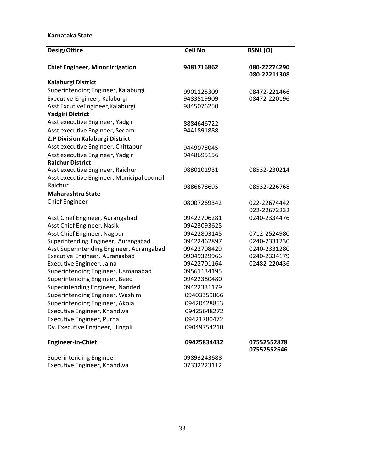## **Karnataka State**

| Desig/Office                               | <b>Cell No</b> | <b>BSNL(O)</b>               |
|--------------------------------------------|----------------|------------------------------|
| <b>Chief Engineer, Minor Irrigation</b>    | 9481716862     | 080-22274290<br>080-22211308 |
| Kalaburgi District                         |                |                              |
| Superintending Engineer, Kalaburgi         | 9901125309     | 08472-221466                 |
| Executive Engineer, Kalaburgi              | 9483519909     | 08472-220196                 |
| Asst ExcutiveEngineer, Kalaburgi           | 9845076250     |                              |
| <b>Yadgiri District</b>                    |                |                              |
| Asst executive Engineer, Yadgir            | 8884646722     |                              |
| Asst executive Engineer, Sedam             | 9441891888     |                              |
| Z.P Division Kalaburgi District            |                |                              |
| Asst executive Engineer, Chittapur         | 9449078045     |                              |
| Asst executive Engineer, Yadgir            | 9448695156     |                              |
| <b>Raichur District</b>                    |                |                              |
| Asst executive Engineer, Raichur           | 9880101931     | 08532-230214                 |
| Asst executive Engineer, Municipal council |                |                              |
| Raichur                                    | 9886678695     | 08532-226768                 |
| <b>Maharashtra State</b>                   |                |                              |
| <b>Chief Engineer</b>                      | 08007269342    | 022-22674442                 |
|                                            |                | 022-22672232                 |
| Asst Chief Engineer, Aurangabad            | 09422706281    | 0240-2334476                 |
| Asst Chief Engineer, Nasik                 | 09423093625    |                              |
| Asst Chief Engineer, Nagpur                | 09422803145    | 0712-2524980                 |
| Superintending Engineer, Aurangabad        | 09422462897    | 0240-2331230                 |
| Asst Superintending Engineer, Aurangabad   | 09422708429    | 0240-2331280                 |
| Executive Engineer, Aurangabad             | 09049329966    | 0240-2334179                 |
| Executive Engineer, Jalna                  | 09422701164    | 02482-220436                 |
| Superintending Engineer, Usmanabad         | 09561134195    |                              |
| Superintending Engineer, Beed              | 09422380480    |                              |
| Superintending Engineer, Nanded            | 09422331179    |                              |
| Superintending Engineer, Washim            | 09403359866    |                              |
| Superintending Engineer, Akola             | 09420428853    |                              |
| Executive Engineer, Khandwa                | 09425648272    |                              |
| Executive Engineer, Purna                  | 09421780472    |                              |
| Dy. Executive Engineer, Hingoli            | 09049754210    |                              |
| <b>Engineer-in-Chief</b>                   | 09425834432    | 07552552878<br>07552552646   |
| <b>Superintending Engineer</b>             | 09893243688    |                              |
| Executive Engineer, Khandwa                | 07332223112    |                              |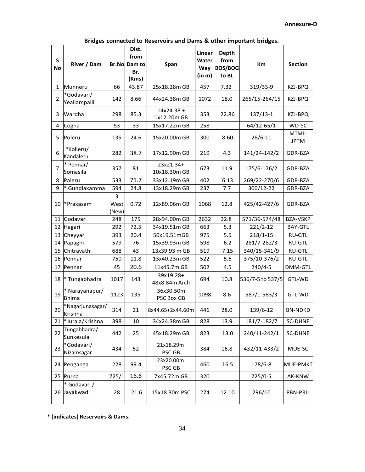|  |  | Bridges connected to Reservoirs and Dams & other important bridges. |  |  |  |  |  |
|--|--|---------------------------------------------------------------------|--|--|--|--|--|
|--|--|---------------------------------------------------------------------|--|--|--|--|--|

| $\mathsf{s}$<br>No | River / Dam                 |                    | Dist.<br>from<br><b>Br.No Dam to</b><br>Br.<br>(Kms) | Span                        | <b>Linear</b><br>Water<br>Way<br>(in m) | <b>Depth</b><br>from<br><b>BOS/BOG</b><br>to BL | Km               | <b>Section</b>       |
|--------------------|-----------------------------|--------------------|------------------------------------------------------|-----------------------------|-----------------------------------------|-------------------------------------------------|------------------|----------------------|
| 1                  | Munneru                     | 66                 | 43.87                                                | 25x18.28m GB                | 457                                     | 7.32                                            | 319/33-9         | KZJ-BPQ              |
| $\overline{2}$     | *Godavari/<br>Yeallampalli  | 142                | 8.66                                                 | 44x24.38m GB                | 1072                                    | 18.0                                            | 265/15-264/15    | KZJ-BPQ              |
| 3                  | Wardha                      | 298                | 85.3                                                 | $14x24.38 +$<br>1x12.20m GB | 353                                     | 22.86                                           | $137/13-1$       | KZJ-BPQ              |
| 4                  | Cogna                       | 53                 | 33                                                   | 15x17.22m GB                | 258                                     |                                                 | $64/12 - 65/1$   | WD-SC                |
| 5                  | Poleru                      | 135                | 24.6                                                 | 15x20.00m GB                | 300                                     | 8.60                                            | 28/6-11          | MTMI-<br><b>JPTM</b> |
| 6                  | *Kolleru/<br>Kandaleru      | 282                | 38.7                                                 | 17x12.90m GB                | 219                                     | 4.3                                             | 141/24-142/2     | GDR-BZA              |
| 7                  | * Pennar/<br>Somasila       | 357                | 81                                                   | 23x21.34+<br>10x18.30m GB   | 673                                     | 11.9                                            | 175/6-176/2      | GDR-BZA              |
| 8                  | Paleru                      | 533                | 71.7                                                 | 33x12.19m GB                | 402                                     | 6.13                                            | 269/22-270/6     | GDR-BZA              |
| 9                  | * Gundlakamma               | 594                | 24.8                                                 | 13x18.29m GB                | 237                                     | 7.7                                             | 300/12-22        | GDR-BZA              |
| 10                 | *Prakasam                   | 3<br>West<br>(New) | 0.72                                                 | 12x89.06m GB                | 1068                                    | 12.8                                            | 425/42-427/6     | GDR-BZA              |
| 11                 | Godavari                    | 248                | 175                                                  | 28x94.00m GB                | 2632                                    | 32.8                                            | 571/36-574/48    | <b>BZA-VSKP</b>      |
| 12                 | Hagari                      | 292                | 72.5                                                 | 34x19.51m GB                | 663                                     | 5.3                                             | $221/2 - 12$     | <b>BAY-GTL</b>       |
| 13                 | Cheyyar                     | 393                | 20.4                                                 | 50x19.51mGB                 | 975                                     | 5.5                                             | $218/1 - 15$     | <b>RU-GTL</b>        |
| 14                 | Papagni                     | 579                | 76                                                   | 15x39.93m GB                | 598                                     | 6.2                                             | 281/7-282/3      | <b>RU-GTL</b>        |
| 15                 | Chitravathi                 | 688                | 43                                                   | 13x39.93 m GB               | 519                                     | 7.15                                            | 340/15-341/9     | <b>RU-GTL</b>        |
| 16                 | Pennar                      | 750                | 11.8                                                 | 13x40.23m GB                | 522                                     | 5.6                                             | 375/10-376/2     | <b>RU-GTL</b>        |
| 17                 | Pennar                      | 45                 | 20.6                                                 | 11x45.7m GB                 | 502                                     | 4.5                                             | $240/4 - 5$      | DMM-GTL              |
| 18                 | * Tungabhadra               | 1017               | 143                                                  | 39x19.28+<br>48x8.84m Arch  | 694                                     | 10.8                                            | 536/7-5 to 537/5 | GTL-WD               |
| 19                 | * Narayanapur/<br>Bhima     | 1123               | 135                                                  | 36x30.50m<br>PSC Box GB     | 1098                                    | 8.6                                             | 587/1-583/3      | GTL-WD               |
| 20                 | *Nagarjunasagar/<br>Krishna | 314                | 21                                                   | 8x44.65+2x44.60m            | 446                                     | 28.0                                            | 139/6-12         | <b>BN-NDKD</b>       |
| 21                 | *Jurala/Krishna             | 398                | 10                                                   | 34x24.38m GB                | 828                                     | 13.9                                            | 181/7-182/7      | SC-DHNE              |
| 22                 | Tungabhadra/<br>Sunkesula   | 442                | 25                                                   | 45x18.29m GB                | 823                                     | 13.0                                            | 240/11-242/1     | <b>SC-DHNE</b>       |
| 23                 | *Godavari/<br>Nizamsagar    | 434                | 52                                                   | 21x18.29m<br>PSC GB         | 384                                     | 16.8                                            | 432/11-433/2     | MUE-SC               |
| 24                 | Penganga                    | 228                | 99.4                                                 | 23x20.00m<br>PSC GB         | 460                                     | 16.5                                            | 178/6-8          | <b>MUE-PMKT</b>      |
| 25                 | Purna                       | 725/1              | 16.6                                                 | 7x45.72m GB                 | 320                                     |                                                 | 725/0-5          | AK-KNW               |
| 26                 | * Godavari /<br>Jayakwadi   | 28                 | 21.6                                                 | 15x18.30m PSC               | 274                                     | 12.10                                           | 296/10           | <b>PBN-PRLI</b>      |

**\* (indicates) Reservoirs & Dams.**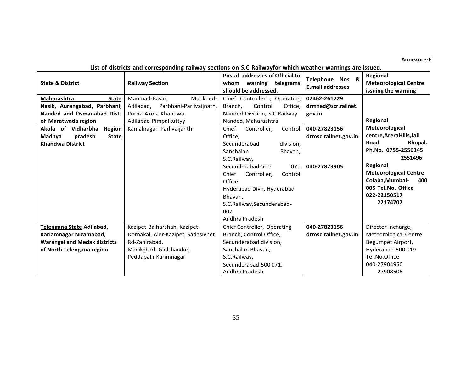## **Annexure-E**

# **List of districts and corresponding railway sections on S.C Railwayfor which weather warnings are issued.**

| <b>State &amp; District</b>         | <b>Railway Section</b>               | Postal addresses of Official to<br>whom warning telegrams<br>should be addressed. | Telephone Nos &<br><b>E.mail addresses</b> | Regional<br><b>Meteorological Centre</b><br>issuing the warning |
|-------------------------------------|--------------------------------------|-----------------------------------------------------------------------------------|--------------------------------------------|-----------------------------------------------------------------|
| Maharashtra<br><b>State</b>         | Manmad-Basar,<br>Mudkhed-            | Chief Controller, Operating                                                       | 02462-261729                               |                                                                 |
| Nasik, Aurangabad, Parbhani,        | Parbhani-Parlivaijnath,<br>Adilabad. | Control<br>Office.<br>Branch.                                                     | drmned@scr.railnet.                        |                                                                 |
| Nanded and Osmanabad Dist.          | Purna-Akola-Khandwa.                 | Nanded Division, S.C.Railway                                                      | gov.in                                     |                                                                 |
| of Maratwada region                 | Adilabad-Pimpalkuttyy                | Nanded, Maharashtra                                                               |                                            | Regional                                                        |
| Akola of Vidharbha<br><b>Region</b> | Kamalnagar-Parlivaijanth             | Chief<br>Controller,<br>Control                                                   | 040-27823156                               | Meteorological                                                  |
| pradesh<br>Madhya<br><b>State</b>   |                                      | Office,                                                                           | drmsc.railnet.gov.in                       | centre, Arera Hills, Jail                                       |
| <b>Khandwa District</b>             |                                      | Secunderabad<br>division,                                                         |                                            | Road<br>Bhopal.                                                 |
|                                     |                                      | Sanchalan<br>Bhavan,                                                              |                                            | Ph.No. 0755-2550345                                             |
|                                     |                                      | S.C.Railway,                                                                      |                                            | 2551496                                                         |
|                                     |                                      | Secunderabad-500<br>071                                                           | 040-27823905                               | Regional                                                        |
|                                     |                                      | Chief<br>Controller,<br>Control                                                   |                                            | <b>Meteorological Centre</b>                                    |
|                                     |                                      | Office                                                                            |                                            | Colaba, Mumbai-<br>400                                          |
|                                     |                                      | Hyderabad Divn, Hyderabad                                                         |                                            | 005 Tel.No. Office                                              |
|                                     |                                      | Bhavan.                                                                           |                                            | 022-22150517                                                    |
|                                     |                                      | S.C.Railway, Secunderabad-                                                        |                                            | 22174707                                                        |
|                                     |                                      | 007,                                                                              |                                            |                                                                 |
|                                     |                                      | Andhra Pradesh                                                                    |                                            |                                                                 |
| Telengana State Adilabad,           | Kazipet-Balharshah, Kazipet-         | Chief Controller, Operating                                                       | 040-27823156                               | Director Incharge,                                              |
| Kariamnagar Nizamabad,              | Dornakal, Aler-Kazipet, Sadasivpet   | Branch, Control Office,                                                           | drmsc.railnet.gov.in                       | Meteorological Centre                                           |
| <b>Warangal and Medak districts</b> | Rd-Zahirabad.                        | Secunderabad division,                                                            |                                            | Begumpet Airport,                                               |
| of North Telengana region           | Manikgharh-Gadchandur,               | Sanchalan Bhavan,                                                                 |                                            | Hyderabad-500019                                                |
|                                     | Peddapalli-Karimnagar                | S.C.Railway,                                                                      |                                            | Tel.No.Office                                                   |
|                                     |                                      | Secunderabad-500071.                                                              |                                            | 040-27904950                                                    |
|                                     |                                      | Andhra Pradesh                                                                    |                                            | 27908506                                                        |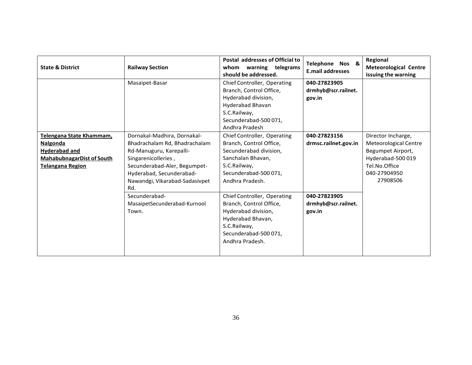| <b>State &amp; District</b>                                                                                          | <b>Railway Section</b>                                                                                                                                                                                              | Postal addresses of Official to<br>warning telegrams<br>whom<br>should be addressed.                                                                              | Telephone Nos &<br><b>E.mail addresses</b>    | Regional<br><b>Meteorological Centre</b><br>issuing the warning                                                                   |
|----------------------------------------------------------------------------------------------------------------------|---------------------------------------------------------------------------------------------------------------------------------------------------------------------------------------------------------------------|-------------------------------------------------------------------------------------------------------------------------------------------------------------------|-----------------------------------------------|-----------------------------------------------------------------------------------------------------------------------------------|
|                                                                                                                      | Masaipet-Basar                                                                                                                                                                                                      | Chief Controller, Operating<br>Branch, Control Office,<br>Hyderabad division,<br>Hyderabad Bhavan<br>S.C.Railway,<br>Secunderabad-500071,<br>Andhra Pradesh       | 040-27823905<br>drmhyb@scr.railnet.<br>gov.in |                                                                                                                                   |
| Telengana State Khammam,<br>Nalgonda<br>Hyderabad and<br><b>MahabubnagarDist of South</b><br><b>Telangana Region</b> | Dornakal-Madhira, Dornakal-<br>Bhadrachalam Rd, Bhadrachalam<br>Rd-Manuguru, Karepalli-<br>Singarenicolleries,<br>Secunderabad-Aler, Begumpet-<br>Hyderabad, Secunderabad-<br>Nawandgi, Vikarabad-Sadasivpet<br>Rd. | Chief Controller, Operating<br>Branch, Control Office,<br>Secunderabad division,<br>Sanchalan Bhavan.<br>S.C.Railway,<br>Secunderabad-500 071,<br>Andhra Pradesh. | 040-27823156<br>drmsc.railnet.gov.in          | Director Incharge,<br>Meteorological Centre<br>Begumpet Airport,<br>Hyderabad-500019<br>Tel.No.Office<br>040-27904950<br>27908506 |
|                                                                                                                      | Secunderabad-<br>MasaipetSecunderabad-Kurnool<br>Town.                                                                                                                                                              | Chief Controller, Operating<br>Branch, Control Office,<br>Hyderabad division,<br>Hyderabad Bhavan,<br>S.C.Railway,<br>Secunderabad-500 071,<br>Andhra Pradesh.    | 040-27823905<br>drmhyb@scr.railnet.<br>gov.in |                                                                                                                                   |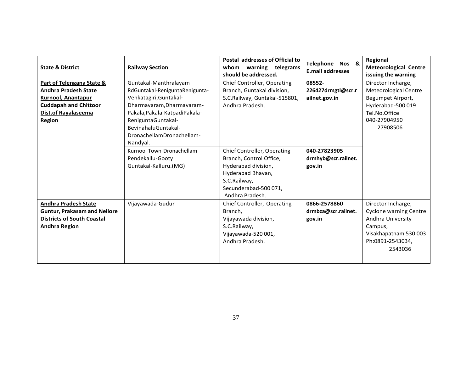| <b>State &amp; District</b>                                                                                                                                   | <b>Railway Section</b>                                                                                                                                                                                                     | Postal addresses of Official to<br>whom warning telegrams<br>should be addressed.                                                                                    | Telephone Nos &<br><b>E.mail addresses</b>    | Regional<br><b>Meteorological Centre</b><br>issuing the warning                                                                             |
|---------------------------------------------------------------------------------------------------------------------------------------------------------------|----------------------------------------------------------------------------------------------------------------------------------------------------------------------------------------------------------------------------|----------------------------------------------------------------------------------------------------------------------------------------------------------------------|-----------------------------------------------|---------------------------------------------------------------------------------------------------------------------------------------------|
| Part of Telengana State &<br><b>Andhra Pradesh State</b><br>Kurnool, Anantapur<br><b>Cuddapah and Chittoor</b><br><b>Dist.of Rayalaseema</b><br><b>Region</b> | Guntakal-Manthralayam<br>RdGuntakal-ReniguntaRenigunta-<br>Venkatagiri, Guntakal-<br>Dharmavaram, Dharmavaram-<br>Pakala, Pakala-Katpadi Pakala-<br>ReniguntaGuntakal-<br>BevinahaluGuntakal-<br>DronachellamDronachellam- | Chief Controller, Operating<br>Branch, Guntakal division,<br>S.C.Railway, Guntakal-515801,<br>Andhra Pradesh.                                                        | 08552-<br>226427drmgtl@scr.r<br>ailnet.gov.in | Director Incharge,<br>Meteorological Centre<br>Begumpet Airport,<br>Hyderabad-500 019<br>Tel.No.Office<br>040-27904950<br>27908506          |
|                                                                                                                                                               | Nandyal.<br>Kurnool Town-Dronachellam<br>Pendekallu-Gooty<br>Guntakal-Kalluru.(MG)                                                                                                                                         | <b>Chief Controller, Operating</b><br>Branch, Control Office,<br>Hyderabad division,<br>Hyderabad Bhavan,<br>S.C.Railway,<br>Secunderabad-500071,<br>Andhra Pradesh. | 040-27823905<br>drmhyb@scr.railnet.<br>gov.in |                                                                                                                                             |
| <b>Andhra Pradesh State</b><br><b>Guntur, Prakasam and Nellore</b><br><b>Districts of South Coastal</b><br><b>Andhra Region</b>                               | Vijayawada-Gudur                                                                                                                                                                                                           | Chief Controller, Operating<br>Branch,<br>Vijayawada division,<br>S.C.Railway,<br>Vijayawada-520 001,<br>Andhra Pradesh.                                             | 0866-2578860<br>drmbza@scr.railnet.<br>gov.in | Director Incharge,<br><b>Cyclone warning Centre</b><br>Andhra University<br>Campus,<br>Visakhapatnam 530 003<br>Ph:0891-2543034,<br>2543036 |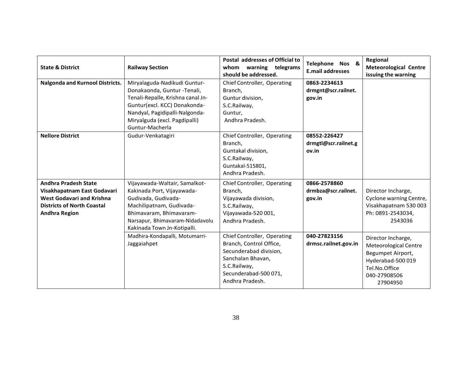| <b>State &amp; District</b>                                                                                                                                 | <b>Railway Section</b>                                                                                                                                                                                                  | Postal addresses of Official to<br>warning telegrams<br>whom<br>should be addressed.                                                                              | Telephone Nos &<br><b>E.mail addresses</b>    | Regional<br><b>Meteorological Centre</b><br>issuing the warning                                                                    |
|-------------------------------------------------------------------------------------------------------------------------------------------------------------|-------------------------------------------------------------------------------------------------------------------------------------------------------------------------------------------------------------------------|-------------------------------------------------------------------------------------------------------------------------------------------------------------------|-----------------------------------------------|------------------------------------------------------------------------------------------------------------------------------------|
| Nalgonda and Kurnool Districts.                                                                                                                             | Miryalaguda-Nadikudi Guntur-<br>Donakaonda, Guntur - Tenali,<br>Tenali-Repalle, Krishna canal Jn-<br>Guntur(excl. KCC) Donakonda-<br>Nandyal, Pagidipalli-Nalgonda-<br>Miryalguda (excl. Pagdipalli)<br>Guntur-Macherla | Chief Controller, Operating<br>Branch,<br>Guntur division,<br>S.C.Railway,<br>Guntur,<br>Andhra Pradesh.                                                          | 0863-2234613<br>drmgnt@scr.railnet.<br>gov.in |                                                                                                                                    |
| <b>Nellore District</b>                                                                                                                                     | Gudur-Venkatagiri                                                                                                                                                                                                       | Chief Controller, Operating<br>Branch,<br>Guntakal division,<br>S.C.Railway,<br>Guntakal-515801,<br>Andhra Pradesh.                                               | 08552-226427<br>drmgtl@scr.railnet.g<br>ov.in |                                                                                                                                    |
| <b>Andhra Pradesh State</b><br>Visakhapatnam East Godavari<br><b>West Godavari and Krishna</b><br><b>Districts of North Coastal</b><br><b>Andhra Region</b> | Vijayawada-Waltair, Samalkot-<br>Kakinada Port, Vijayawada-<br>Gudivada, Gudivada-<br>Machilipatnam, Gudivada-<br>Bhimavaram, Bhimavaram-<br>Narsapur, Bhimavaram-Nidadavolu<br>Kakinada Town Jn-Kotipalli.             | Chief Controller, Operating<br>Branch,<br>Vijayawada division,<br>S.C.Railway,<br>Vijayawada-520 001,<br>Andhra Pradesh.                                          | 0866-2578860<br>drmbza@scr.railnet.<br>gov.in | Director Incharge,<br>Cyclone warning Centre,<br>Visakhapatnam 530 003<br>Ph: 0891-2543034,<br>2543036                             |
|                                                                                                                                                             | Madhira-Kondapalli, Motumarri-<br>Jaggaiahpet                                                                                                                                                                           | Chief Controller, Operating<br>Branch, Control Office,<br>Secunderabad division,<br>Sanchalan Bhavan,<br>S.C.Railway,<br>Secunderabad-500 071,<br>Andhra Pradesh. | 040-27823156<br>drmsc.railnet.gov.in          | Director Incharge,<br>Meteorological Centre<br>Begumpet Airport,<br>Hyderabad-500 019<br>Tel.No.Office<br>040-27908506<br>27904950 |